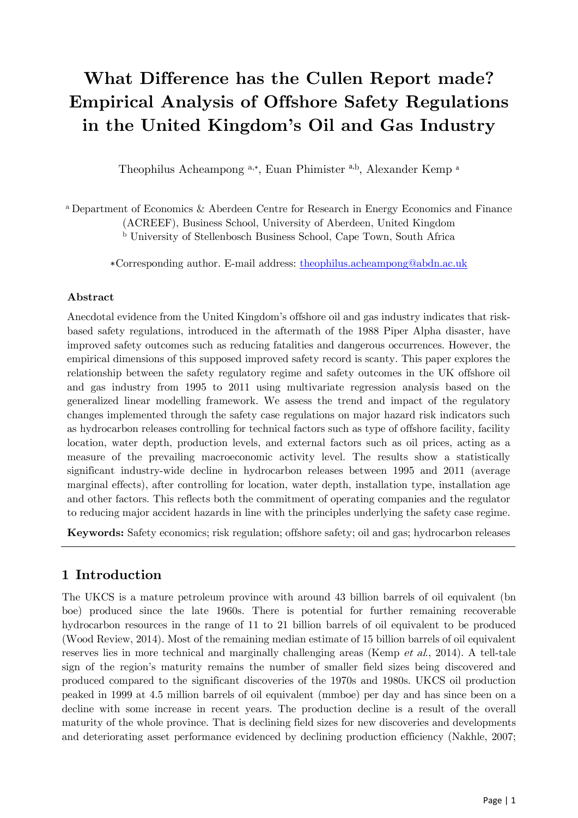# **What Difference has the Cullen Report made? Empirical Analysis of Offshore Safety Regulations in the United Kingdom's Oil and Gas Industry**

Theophilus Acheampong a,\*, Euan Phimister a,b, Alexander Kemp <sup>a</sup>

<sup>a</sup> Department of Economics & Aberdeen Centre for Research in Energy Economics and Finance (ACREEF), Business School, University of Aberdeen, United Kingdom <sup>b</sup> University of Stellenbosch Business School, Cape Town, South Africa

∗Corresponding author. E-mail address: [theophilus.acheampong@abdn.ac.uk](mailto:theophilus.acheampong@abdn.ac.uk)

#### **Abstract**

Anecdotal evidence from the United Kingdom's offshore oil and gas industry indicates that riskbased safety regulations, introduced in the aftermath of the 1988 Piper Alpha disaster, have improved safety outcomes such as reducing fatalities and dangerous occurrences. However, the empirical dimensions of this supposed improved safety record is scanty. This paper explores the relationship between the safety regulatory regime and safety outcomes in the UK offshore oil and gas industry from 1995 to 2011 using multivariate regression analysis based on the generalized linear modelling framework. We assess the trend and impact of the regulatory changes implemented through the safety case regulations on major hazard risk indicators such as hydrocarbon releases controlling for technical factors such as type of offshore facility, facility location, water depth, production levels, and external factors such as oil prices, acting as a measure of the prevailing macroeconomic activity level. The results show a statistically significant industry-wide decline in hydrocarbon releases between 1995 and 2011 (average marginal effects), after controlling for location, water depth, installation type, installation age and other factors. This reflects both the commitment of operating companies and the regulator to reducing major accident hazards in line with the principles underlying the safety case regime.

**Keywords:** Safety economics; risk regulation; offshore safety; oil and gas; hydrocarbon releases

## **1 Introduction**

The UKCS is a mature petroleum province with around 43 billion barrels of oil equivalent (bn boe) produced since the late 1960s. There is potential for further remaining recoverable hydrocarbon resources in the range of 11 to 21 billion barrels of oil equivalent to be produced (Wood Review, 2014). Most of the remaining median estimate of 15 billion barrels of oil equivalent reserves lies in more technical and marginally challenging areas (Kemp *et al.*, 2014). A tell-tale sign of the region's maturity remains the number of smaller field sizes being discovered and produced compared to the significant discoveries of the 1970s and 1980s. UKCS oil production peaked in 1999 at 4.5 million barrels of oil equivalent (mmboe) per day and has since been on a decline with some increase in recent years. The production decline is a result of the overall maturity of the whole province. That is declining field sizes for new discoveries and developments and deteriorating asset performance evidenced by declining production efficiency (Nakhle, 2007;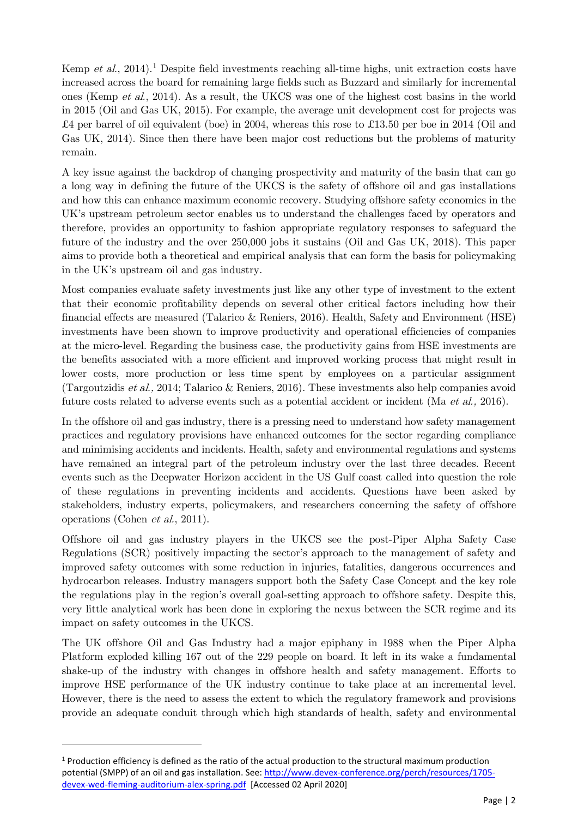Kemp et al., 20[1](#page-1-0)4).<sup>1</sup> Despite field investments reaching all-time highs, unit extraction costs have increased across the board for remaining large fields such as Buzzard and similarly for incremental ones (Kemp et al., 2014). As a result, the UKCS was one of the highest cost basins in the world in 2015 (Oil and Gas UK, 2015). For example, the average unit development cost for projects was £4 per barrel of oil equivalent (boe) in 2004, whereas this rose to £13.50 per boe in 2014 (Oil and Gas UK, 2014). Since then there have been major cost reductions but the problems of maturity remain.

A key issue against the backdrop of changing prospectivity and maturity of the basin that can go a long way in defining the future of the UKCS is the safety of offshore oil and gas installations and how this can enhance maximum economic recovery. Studying offshore safety economics in the UK's upstream petroleum sector enables us to understand the challenges faced by operators and therefore, provides an opportunity to fashion appropriate regulatory responses to safeguard the future of the industry and the over 250,000 jobs it sustains (Oil and Gas UK, 2018). This paper aims to provide both a theoretical and empirical analysis that can form the basis for policymaking in the UK's upstream oil and gas industry.

Most companies evaluate safety investments just like any other type of investment to the extent that their economic profitability depends on several other critical factors including how their financial effects are measured (Talarico & Reniers, 2016). Health, Safety and Environment (HSE) investments have been shown to improve productivity and operational efficiencies of companies at the micro-level. Regarding the business case, the productivity gains from HSE investments are the benefits associated with a more efficient and improved working process that might result in lower costs, more production or less time spent by employees on a particular assignment (Targoutzidis et al., 2014; Talarico & Reniers, 2016). These investments also help companies avoid future costs related to adverse events such as a potential accident or incident (Ma et al., 2016).

In the offshore oil and gas industry, there is a pressing need to understand how safety management practices and regulatory provisions have enhanced outcomes for the sector regarding compliance and minimising accidents and incidents. Health, safety and environmental regulations and systems have remained an integral part of the petroleum industry over the last three decades. Recent events such as the Deepwater Horizon accident in the US Gulf coast called into question the role of these regulations in preventing incidents and accidents. Questions have been asked by stakeholders, industry experts, policymakers, and researchers concerning the safety of offshore operations (Cohen et al., 2011).

Offshore oil and gas industry players in the UKCS see the post-Piper Alpha Safety Case Regulations (SCR) positively impacting the sector's approach to the management of safety and improved safety outcomes with some reduction in injuries, fatalities, dangerous occurrences and hydrocarbon releases. Industry managers support both the Safety Case Concept and the key role the regulations play in the region's overall goal-setting approach to offshore safety. Despite this, very little analytical work has been done in exploring the nexus between the SCR regime and its impact on safety outcomes in the UKCS.

The UK offshore Oil and Gas Industry had a major epiphany in 1988 when the Piper Alpha Platform exploded killing 167 out of the 229 people on board. It left in its wake a fundamental shake-up of the industry with changes in offshore health and safety management. Efforts to improve HSE performance of the UK industry continue to take place at an incremental level. However, there is the need to assess the extent to which the regulatory framework and provisions provide an adequate conduit through which high standards of health, safety and environmental

<span id="page-1-0"></span> $1$  Production efficiency is defined as the ratio of the actual production to the structural maximum production potential (SMPP) of an oil and gas installation. See[: http://www.devex-conference.org/perch/resources/1705](http://www.devex-conference.org/perch/resources/1705-devex-wed-fleming-auditorium-alex-spring.pdf) [devex-wed-fleming-auditorium-alex-spring.pdf](http://www.devex-conference.org/perch/resources/1705-devex-wed-fleming-auditorium-alex-spring.pdf) [Accessed 02 April 2020]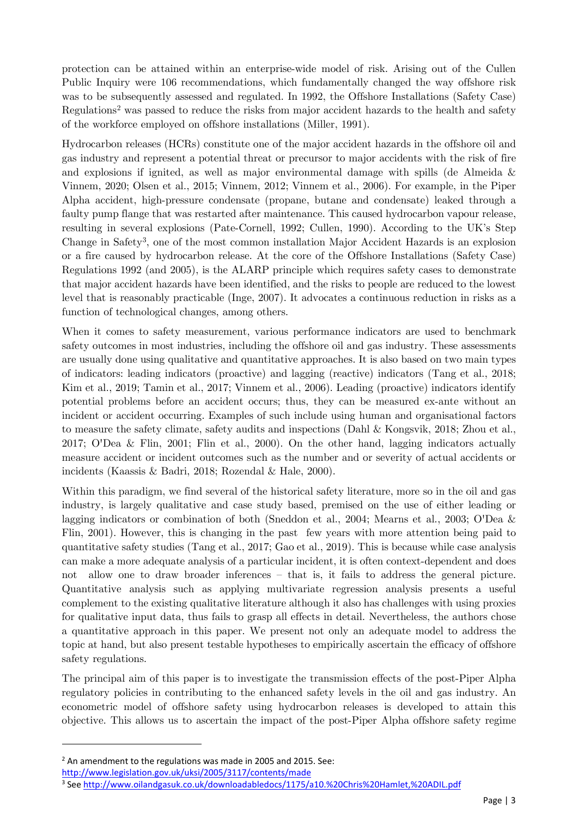protection can be attained within an enterprise-wide model of risk. Arising out of the Cullen Public Inquiry were 106 recommendations, which fundamentally changed the way offshore risk was to be subsequently assessed and regulated. In 1992, the Offshore Installations (Safety Case) Regulations<sup>[2](#page-2-0)</sup> was passed to reduce the risks from major accident hazards to the health and safety of the workforce employed on offshore installations (Miller, 1991).

Hydrocarbon releases (HCRs) constitute one of the major accident hazards in the offshore oil and gas industry and represent a potential threat or precursor to major accidents with the risk of fire and explosions if ignited, as well as major environmental damage with spills (de Almeida & Vinnem, 2020; Olsen et al., 2015; Vinnem, 2012; Vinnem et al., 2006). For example, in the Piper Alpha accident, high-pressure condensate (propane, butane and condensate) leaked through a faulty pump flange that was restarted after maintenance. This caused hydrocarbon vapour release, resulting in several explosions (Pate-Cornell, 1992; Cullen, 1990). According to the UK's Step Change in Safety[3,](#page-2-1) one of the most common installation Major Accident Hazards is an explosion or a fire caused by hydrocarbon release. At the core of the Offshore Installations (Safety Case) Regulations 1992 (and 2005), is the ALARP principle which requires safety cases to demonstrate that major accident hazards have been identified, and the risks to people are reduced to the lowest level that is reasonably practicable (Inge, 2007). It advocates a continuous reduction in risks as a function of technological changes, among others.

When it comes to safety measurement, various performance indicators are used to benchmark safety outcomes in most industries, including the offshore oil and gas industry. These assessments are usually done using qualitative and quantitative approaches. It is also based on two main types of indicators: leading indicators (proactive) and lagging (reactive) indicators (Tang et al., 2018; Kim et al., 2019; Tamin et al., 2017; Vinnem et al., 2006). Leading (proactive) indicators identify potential problems before an accident occurs; thus, they can be measured ex-ante without an incident or accident occurring. Examples of such include using human and organisational factors to measure the safety climate, safety audits and inspections (Dahl & Kongsvik, 2018; Zhou et al., 2017; O'Dea & Flin, 2001; Flin et al., 2000). On the other hand, lagging indicators actually measure accident or incident outcomes such as the number and or severity of actual accidents or incidents (Kaassis & Badri, 2018; Rozendal & Hale, 2000).

Within this paradigm, we find several of the historical safety literature, more so in the oil and gas industry, is largely qualitative and case study based, premised on the use of either leading or lagging indicators or combination of both (Sneddon et al., 2004; Mearns et al., 2003; O'Dea & Flin, 2001). However, this is changing in the past few years with more attention being paid to quantitative safety studies (Tang et al., 2017; Gao et al., 2019). This is because while case analysis can make a more adequate analysis of a particular incident, it is often context-dependent and does not allow one to draw broader inferences – that is, it fails to address the general picture. Quantitative analysis such as applying multivariate regression analysis presents a useful complement to the existing qualitative literature although it also has challenges with using proxies for qualitative input data, thus fails to grasp all effects in detail. Nevertheless, the authors chose a quantitative approach in this paper. We present not only an adequate model to address the topic at hand, but also present testable hypotheses to empirically ascertain the efficacy of offshore safety regulations.

The principal aim of this paper is to investigate the transmission effects of the post-Piper Alpha regulatory policies in contributing to the enhanced safety levels in the oil and gas industry. An econometric model of offshore safety using hydrocarbon releases is developed to attain this objective. This allows us to ascertain the impact of the post-Piper Alpha offshore safety regime

<span id="page-2-0"></span> $2$  An amendment to the regulations was made in 2005 and 2015. See: <http://www.legislation.gov.uk/uksi/2005/3117/contents/made>

<span id="page-2-1"></span><sup>&</sup>lt;sup>3</sup> See<http://www.oilandgasuk.co.uk/downloadabledocs/1175/a10.%20Chris%20Hamlet,%20ADIL.pdf>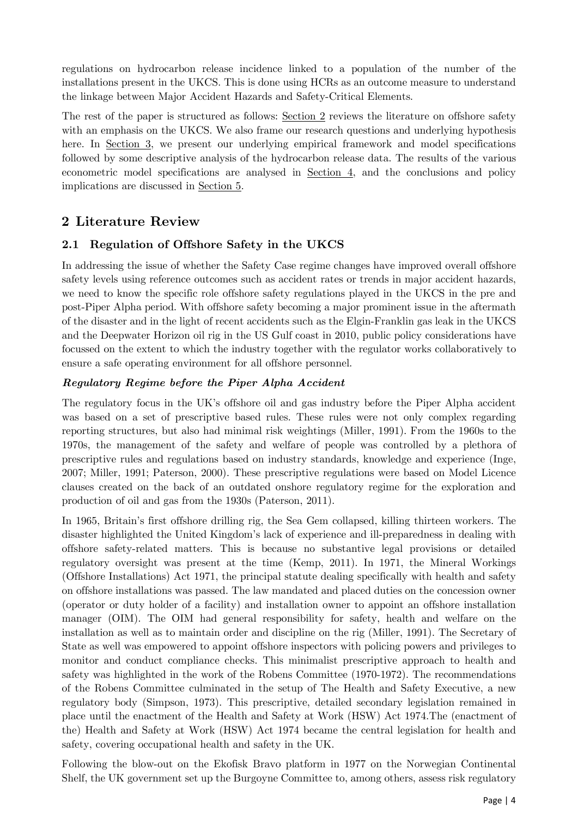regulations on hydrocarbon release incidence linked to a population of the number of the installations present in the UKCS. This is done using HCRs as an outcome measure to understand the linkage between Major Accident Hazards and Safety-Critical Elements.

The rest of the paper is structured as follows: [Section 2](#page-3-0) reviews the literature on offshore safety with an emphasis on the UKCS. We also frame our research questions and underlying hypothesis here. In [Section 3,](#page-8-0) we present our underlying empirical framework and model specifications followed by some descriptive analysis of the hydrocarbon release data. The results of the various econometric model specifications are analysed in [Section 4,](#page-13-0) and the conclusions and policy implications are discussed in [Section 5.](#page-22-0)

# <span id="page-3-0"></span>**2 Literature Review**

## **2.1 Regulation of Offshore Safety in the UKCS**

In addressing the issue of whether the Safety Case regime changes have improved overall offshore safety levels using reference outcomes such as accident rates or trends in major accident hazards, we need to know the specific role offshore safety regulations played in the UKCS in the pre and post-Piper Alpha period. With offshore safety becoming a major prominent issue in the aftermath of the disaster and in the light of recent accidents such as the Elgin-Franklin gas leak in the UKCS and the Deepwater Horizon oil rig in the US Gulf coast in 2010, public policy considerations have focussed on the extent to which the industry together with the regulator works collaboratively to ensure a safe operating environment for all offshore personnel.

#### *Regulatory Regime before the Piper Alpha Accident*

The regulatory focus in the UK's offshore oil and gas industry before the Piper Alpha accident was based on a set of prescriptive based rules. These rules were not only complex regarding reporting structures, but also had minimal risk weightings (Miller, 1991). From the 1960s to the 1970s, the management of the safety and welfare of people was controlled by a plethora of prescriptive rules and regulations based on industry standards, knowledge and experience (Inge, 2007; Miller, 1991; Paterson, 2000). These prescriptive regulations were based on Model Licence clauses created on the back of an outdated onshore regulatory regime for the exploration and production of oil and gas from the 1930s (Paterson, 2011).

In 1965, Britain's first offshore drilling rig, the Sea Gem collapsed, killing thirteen workers. The disaster highlighted the United Kingdom's lack of experience and ill-preparedness in dealing with offshore safety-related matters. This is because no substantive legal provisions or detailed regulatory oversight was present at the time (Kemp, 2011). In 1971, the Mineral Workings (Offshore Installations) Act 1971, the principal statute dealing specifically with health and safety on offshore installations was passed. The law mandated and placed duties on the concession owner (operator or duty holder of a facility) and installation owner to appoint an offshore installation manager (OIM). The OIM had general responsibility for safety, health and welfare on the installation as well as to maintain order and discipline on the rig (Miller, 1991). The Secretary of State as well was empowered to appoint offshore inspectors with policing powers and privileges to monitor and conduct compliance checks. This minimalist prescriptive approach to health and safety was highlighted in the work of the Robens Committee (1970-1972). The recommendations of the Robens Committee culminated in the setup of The Health and Safety Executive, a new regulatory body (Simpson, 1973). This prescriptive, detailed secondary legislation remained in place until the enactment of the Health and Safety at Work (HSW) Act 1974.The (enactment of the) Health and Safety at Work (HSW) Act 1974 became the central legislation for health and safety, covering occupational health and safety in the UK.

Following the blow-out on the Ekofisk Bravo platform in 1977 on the Norwegian Continental Shelf, the UK government set up the Burgoyne Committee to, among others, assess risk regulatory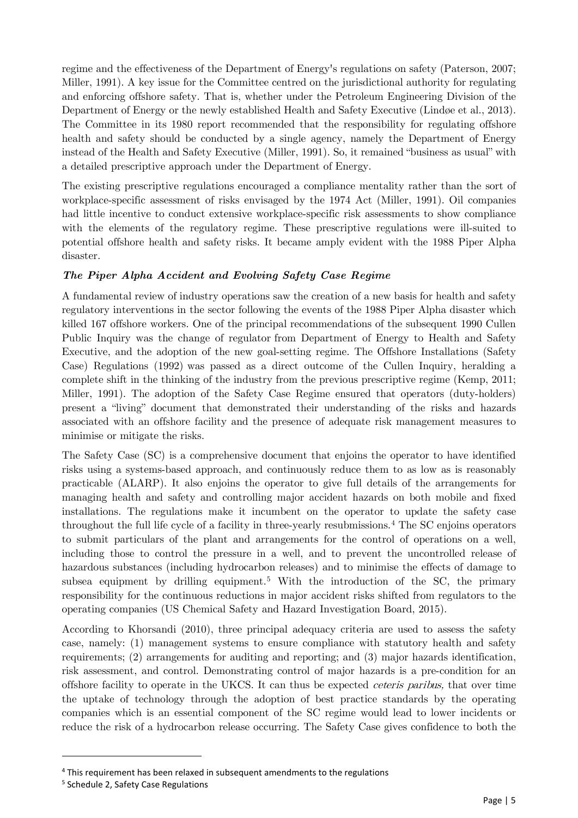regime and the effectiveness of the Department of Energy's regulations on safety (Paterson, 2007; Miller, 1991). A key issue for the Committee centred on the jurisdictional authority for regulating and enforcing offshore safety. That is, whether under the Petroleum Engineering Division of the Department of Energy or the newly established Health and Safety Executive (Lindøe et al., 2013). The Committee in its 1980 report recommended that the responsibility for regulating offshore health and safety should be conducted by a single agency, namely the Department of Energy instead of the Health and Safety Executive (Miller, 1991). So, it remained "business as usual" with a detailed prescriptive approach under the Department of Energy.

The existing prescriptive regulations encouraged a compliance mentality rather than the sort of workplace-specific assessment of risks envisaged by the 1974 Act (Miller, 1991). Oil companies had little incentive to conduct extensive workplace-specific risk assessments to show compliance with the elements of the regulatory regime. These prescriptive regulations were ill-suited to potential offshore health and safety risks. It became amply evident with the 1988 Piper Alpha disaster.

#### *The Piper Alpha Accident and Evolving Safety Case Regime*

A fundamental review of industry operations saw the creation of a new basis for health and safety regulatory interventions in the sector following the events of the 1988 Piper Alpha disaster which killed 167 offshore workers. One of the principal recommendations of the subsequent 1990 Cullen Public Inquiry was the change of regulator from Department of Energy to Health and Safety Executive, and the adoption of the new goal-setting regime. The Offshore Installations (Safety Case) Regulations (1992) was passed as a direct outcome of the Cullen Inquiry, heralding a complete shift in the thinking of the industry from the previous prescriptive regime (Kemp, 2011; Miller, 1991). The adoption of the Safety Case Regime ensured that operators (duty-holders) present a "living" document that demonstrated their understanding of the risks and hazards associated with an offshore facility and the presence of adequate risk management measures to minimise or mitigate the risks.

The Safety Case (SC) is a comprehensive document that enjoins the operator to have identified risks using a systems-based approach, and continuously reduce them to as low as is reasonably practicable (ALARP). It also enjoins the operator to give full details of the arrangements for managing health and safety and controlling major accident hazards on both mobile and fixed installations. The regulations make it incumbent on the operator to update the safety case throughout the full life cycle of a facility in three-yearly resubmissions.[4](#page-4-0) The SC enjoins operators to submit particulars of the plant and arrangements for the control of operations on a well, including those to control the pressure in a well, and to prevent the uncontrolled release of hazardous substances (including hydrocarbon releases) and to minimise the effects of damage to subsea equipment by drilling equipment.<sup>[5](#page-4-1)</sup> With the introduction of the SC, the primary responsibility for the continuous reductions in major accident risks shifted from regulators to the operating companies (US Chemical Safety and Hazard Investigation Board, 2015).

According to Khorsandi (2010), three principal adequacy criteria are used to assess the safety case, namely: (1) management systems to ensure compliance with statutory health and safety requirements; (2) arrangements for auditing and reporting; and (3) major hazards identification, risk assessment, and control. Demonstrating control of major hazards is a pre-condition for an offshore facility to operate in the UKCS. It can thus be expected ceteris paribus, that over time the uptake of technology through the adoption of best practice standards by the operating companies which is an essential component of the SC regime would lead to lower incidents or reduce the risk of a hydrocarbon release occurring. The Safety Case gives confidence to both the

<span id="page-4-0"></span><sup>&</sup>lt;sup>4</sup> This requirement has been relaxed in subsequent amendments to the regulations

<span id="page-4-1"></span><sup>5</sup> Schedule 2, Safety Case Regulations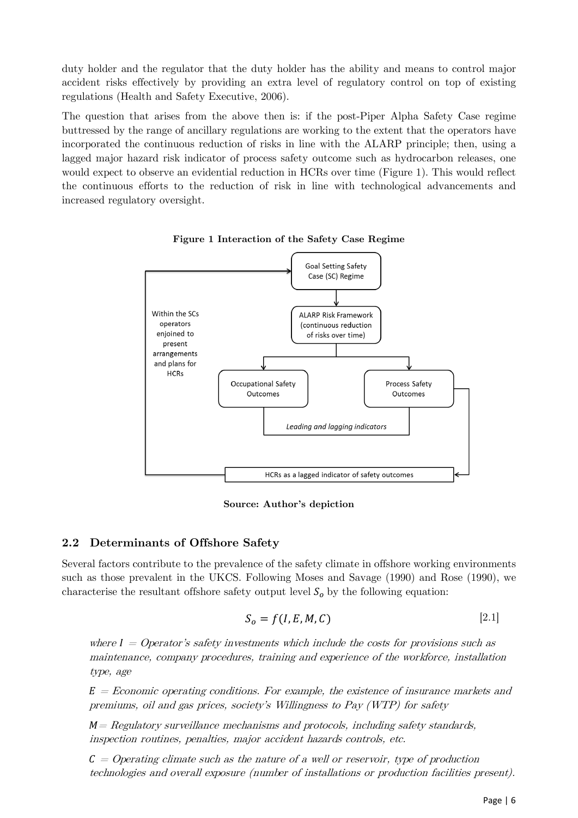duty holder and the regulator that the duty holder has the ability and means to control major accident risks effectively by providing an extra level of regulatory control on top of existing regulations (Health and Safety Executive, 2006).

The question that arises from the above then is: if the post-Piper Alpha Safety Case regime buttressed by the range of ancillary regulations are working to the extent that the operators have incorporated the continuous reduction of risks in line with the ALARP principle; then, using a lagged major hazard risk indicator of process safety outcome such as hydrocarbon releases, one would expect to observe an evidential reduction in HCRs over time (Figure 1). This would reflect the continuous efforts to the reduction of risk in line with technological advancements and increased regulatory oversight.



**Figure 1 Interaction of the Safety Case Regime**

**Source: Author's depiction**

## **2.2 Determinants of Offshore Safety**

Several factors contribute to the prevalence of the safety climate in offshore working environments such as those prevalent in the UKCS. Following Moses and Savage (1990) and Rose (1990), we characterise the resultant offshore safety output level  $S<sub>o</sub>$  by the following equation:

$$
S_o = f(I, E, M, C) \tag{2.1}
$$

where  $I =$  Operator's safety investments which include the costs for provisions such as maintenance, company procedures, training and experience of the workforce, installation type, age

 $E=E$ conomic operating conditions. For example, the existence of insurance markets and premiums, oil and gas prices, society's Willingness to Pay (WTP) for safety

 $M = Regularory$  surveillance mechanisms and protocols, including safety standards, inspection routines, penalties, major accident hazards controls, etc.

 $\mathcal{C} = \text{Operating climate such as the nature of a well or reservoir, type of production}$ technologies and overall exposure (number of installations or production facilities present).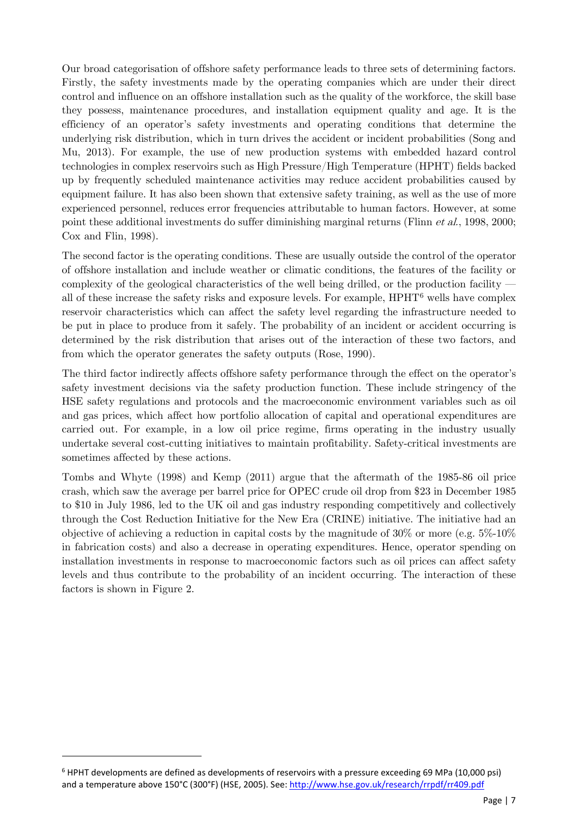Our broad categorisation of offshore safety performance leads to three sets of determining factors. Firstly, the safety investments made by the operating companies which are under their direct control and influence on an offshore installation such as the quality of the workforce, the skill base they possess, maintenance procedures, and installation equipment quality and age. It is the efficiency of an operator's safety investments and operating conditions that determine the underlying risk distribution, which in turn drives the accident or incident probabilities (Song and Mu, 2013). For example, the use of new production systems with embedded hazard control technologies in complex reservoirs such as High Pressure/High Temperature (HPHT) fields backed up by frequently scheduled maintenance activities may reduce accident probabilities caused by equipment failure. It has also been shown that extensive safety training, as well as the use of more experienced personnel, reduces error frequencies attributable to human factors. However, at some point these additional investments do suffer diminishing marginal returns (Flinn et al., 1998, 2000; Cox and Flin, 1998).

The second factor is the operating conditions. These are usually outside the control of the operator of offshore installation and include weather or climatic conditions, the features of the facility or complexity of the geological characteristics of the well being drilled, or the production facility all of these increase the safety risks and exposure levels. For example, HPHT[6](#page-6-0) wells have complex reservoir characteristics which can affect the safety level regarding the infrastructure needed to be put in place to produce from it safely. The probability of an incident or accident occurring is determined by the risk distribution that arises out of the interaction of these two factors, and from which the operator generates the safety outputs (Rose, 1990).

The third factor indirectly affects offshore safety performance through the effect on the operator's safety investment decisions via the safety production function. These include stringency of the HSE safety regulations and protocols and the macroeconomic environment variables such as oil and gas prices, which affect how portfolio allocation of capital and operational expenditures are carried out. For example, in a low oil price regime, firms operating in the industry usually undertake several cost-cutting initiatives to maintain profitability. Safety-critical investments are sometimes affected by these actions.

Tombs and Whyte (1998) and Kemp (2011) argue that the aftermath of the 1985-86 oil price crash, which saw the average per barrel price for OPEC crude oil drop from \$23 in December 1985 to \$10 in July 1986, led to the UK oil and gas industry responding competitively and collectively through the Cost Reduction Initiative for the New Era (CRINE) initiative. The initiative had an objective of achieving a reduction in capital costs by the magnitude of 30% or more (e.g. 5%-10% in fabrication costs) and also a decrease in operating expenditures. Hence, operator spending on installation investments in response to macroeconomic factors such as oil prices can affect safety levels and thus contribute to the probability of an incident occurring. The interaction of these factors is shown in Figure 2.

<span id="page-6-0"></span><sup>6</sup> HPHT developments are defined as developments of reservoirs with a pressure exceeding 69 MPa (10,000 psi) and a temperature above 150°C (300°F) (HSE, 2005). See[: http://www.hse.gov.uk/research/rrpdf/rr409.pdf](http://www.hse.gov.uk/research/rrpdf/rr409.pdf)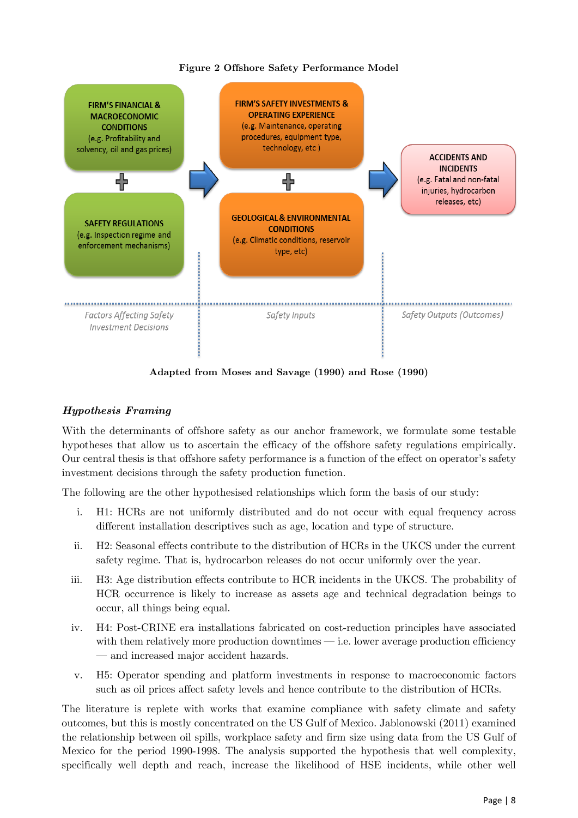#### **Figure 2 Offshore Safety Performance Model**



**Adapted from Moses and Savage (1990) and Rose (1990)**

#### *Hypothesis Framing*

With the determinants of offshore safety as our anchor framework, we formulate some testable hypotheses that allow us to ascertain the efficacy of the offshore safety regulations empirically. Our central thesis is that offshore safety performance is a function of the effect on operator's safety investment decisions through the safety production function.

The following are the other hypothesised relationships which form the basis of our study:

- i. H1: HCRs are not uniformly distributed and do not occur with equal frequency across different installation descriptives such as age, location and type of structure.
- ii. H2: Seasonal effects contribute to the distribution of HCRs in the UKCS under the current safety regime. That is, hydrocarbon releases do not occur uniformly over the year.
- iii. H3: Age distribution effects contribute to HCR incidents in the UKCS. The probability of HCR occurrence is likely to increase as assets age and technical degradation beings to occur, all things being equal.
- iv. H4: Post-CRINE era installations fabricated on cost-reduction principles have associated with them relatively more production downtimes — i.e. lower average production efficiency — and increased major accident hazards.
- v. H5: Operator spending and platform investments in response to macroeconomic factors such as oil prices affect safety levels and hence contribute to the distribution of HCRs.

The literature is replete with works that examine compliance with safety climate and safety outcomes, but this is mostly concentrated on the US Gulf of Mexico. Jablonowski (2011) examined the relationship between oil spills, workplace safety and firm size using data from the US Gulf of Mexico for the period 1990-1998. The analysis supported the hypothesis that well complexity, specifically well depth and reach, increase the likelihood of HSE incidents, while other well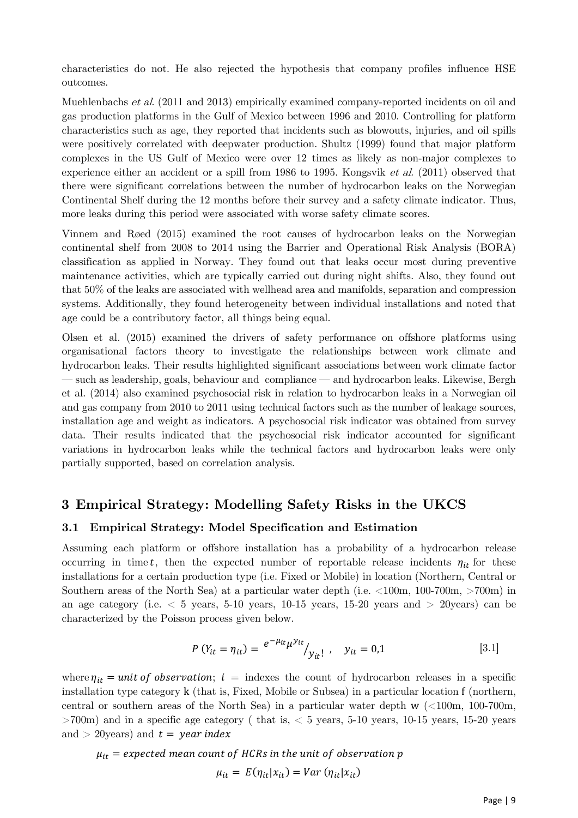characteristics do not. He also rejected the hypothesis that company profiles influence HSE outcomes.

Muehlenbachs et al. (2011 and 2013) empirically examined company-reported incidents on oil and gas production platforms in the Gulf of Mexico between 1996 and 2010. Controlling for platform characteristics such as age, they reported that incidents such as blowouts, injuries, and oil spills were positively correlated with deepwater production. Shultz (1999) found that major platform complexes in the US Gulf of Mexico were over 12 times as likely as non-major complexes to experience either an accident or a spill from 1986 to 1995. Kongsvik *et al.* (2011) observed that there were significant correlations between the number of hydrocarbon leaks on the Norwegian Continental Shelf during the 12 months before their survey and a safety climate indicator. Thus, more leaks during this period were associated with worse safety climate scores.

Vinnem and Røed (2015) examined the root causes of hydrocarbon leaks on the Norwegian continental shelf from 2008 to 2014 using the Barrier and Operational Risk Analysis (BORA) classification as applied in Norway. They found out that leaks occur most during preventive maintenance activities, which are typically carried out during night shifts. Also, they found out that 50% of the leaks are associated with wellhead area and manifolds, separation and compression systems. Additionally, they found heterogeneity between individual installations and noted that age could be a contributory factor, all things being equal.

Olsen et al. (2015) examined the drivers of safety performance on offshore platforms using organisational factors theory to investigate the relationships between work climate and hydrocarbon leaks. Their results highlighted significant associations between work climate factor — such as leadership, goals, behaviour and compliance — and hydrocarbon leaks. Likewise, Bergh et al. (2014) also examined psychosocial risk in relation to hydrocarbon leaks in a Norwegian oil and gas company from 2010 to 2011 using technical factors such as the number of leakage sources, installation age and weight as indicators. A psychosocial risk indicator was obtained from survey data. Their results indicated that the psychosocial risk indicator accounted for significant variations in hydrocarbon leaks while the technical factors and hydrocarbon leaks were only partially supported, based on correlation analysis.

## <span id="page-8-0"></span>**3 Empirical Strategy: Modelling Safety Risks in the UKCS**

#### **3.1 Empirical Strategy: Model Specification and Estimation**

Assuming each platform or offshore installation has a probability of a hydrocarbon release occurring in time t, then the expected number of reportable release incidents  $\eta_{it}$  for these installations for a certain production type (i.e. Fixed or Mobile) in location (Northern, Central or Southern areas of the North Sea) at a particular water depth (i.e.  $\leq 100$ m, 100-700m,  $>700$ m) in an age category (i.e.  $\lt$  5 years, 5-10 years, 10-15 years, 15-20 years and  $>$  20years) can be characterized by the Poisson process given below.

$$
P(Y_{it} = \eta_{it}) = \frac{e^{-\mu_{it}} \mu^{y_{it}}}{y_{it}!}, \quad y_{it} = 0.1
$$
 [3.1]

where  $\eta_{it}$  = unit of observation; i = indexes the count of hydrocarbon releases in a specific installation type category k (that is, Fixed, Mobile or Subsea) in a particular location f (northern, central or southern areas of the North Sea) in a particular water depth w (<100m, 100-700m,  $>700$ m) and in a specific age category ( that is,  $< 5$  years, 5-10 years, 10-15 years, 15-20 years and  $>$  20years) and  $t =$  year index

$$
\mu_{it} = expected\ mean\ count\ of\ HCRs\ in\ the\ unit\ of\ observation\ p
$$

$$
\mu_{it} = E(\eta_{it}|x_{it}) = Var\ (\eta_{it}|x_{it})
$$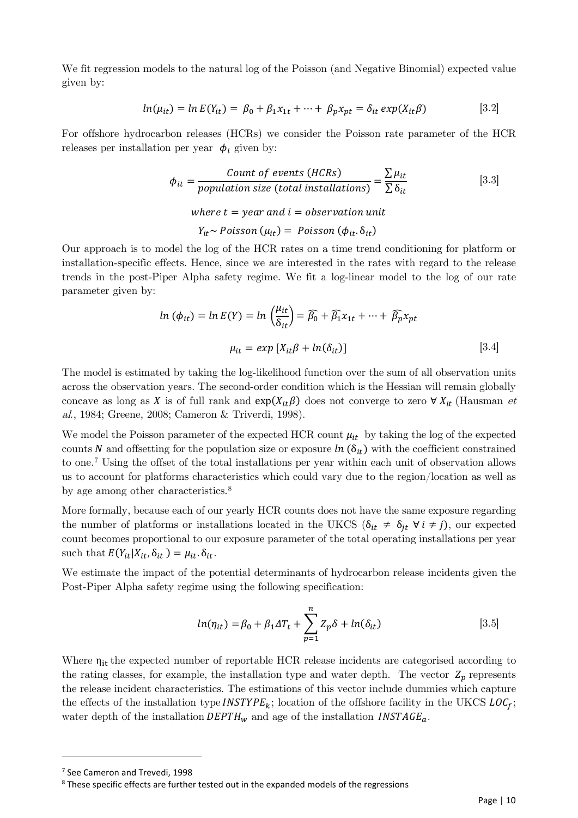We fit regression models to the natural log of the Poisson (and Negative Binomial) expected value given by:

$$
ln(\mu_{it}) = ln E(Y_{it}) = \beta_0 + \beta_1 x_{1t} + \dots + \beta_p x_{pt} = \delta_{it} exp(X_{it}\beta)
$$
 [3.2]

For offshore hydrocarbon releases (HCRs) we consider the Poisson rate parameter of the HCR releases per installation per year  $\phi_i$  given by:

$$
\phi_{it} = \frac{Count \ of \ events \ (HCRs)}{population \ size \ (total \ installations)} = \frac{\sum \mu_{it}}{\sum \delta_{it}} \tag{3.3}
$$

where  $t =$  vear and  $i =$  observation unit

 $Y_{it} \sim Poisson(\mu_{it}) = Poisson(\phi_{it}.\delta_{it})$ 

Our approach is to model the log of the HCR rates on a time trend conditioning for platform or installation-specific effects. Hence, since we are interested in the rates with regard to the release trends in the post-Piper Alpha safety regime. We fit a log-linear model to the log of our rate parameter given by:

$$
ln (\phi_{it}) = ln E(Y) = ln \left(\frac{\mu_{it}}{\delta_{it}}\right) = \widehat{\beta_0} + \widehat{\beta_1} x_{1t} + \dots + \widehat{\beta_p} x_{pt}
$$

$$
\mu_{it} = exp [X_{it}\beta + ln(\delta_{it})]
$$
 [3.4]

The model is estimated by taking the log-likelihood function over the sum of all observation units across the observation years. The second-order condition which is the Hessian will remain globally concave as long as X is of full rank and  $exp(X_{it}\beta)$  does not converge to zero  $\forall X_{it}$  (Hausman et al., 1984; Greene, 2008; Cameron & Triverdi, 1998).

We model the Poisson parameter of the expected HCR count  $\mu_{it}$  by taking the log of the expected counts N and offsetting for the population size or exposure  $\ln (\delta_{it})$  with the coefficient constrained to one.[7](#page-9-0) Using the offset of the total installations per year within each unit of observation allows us to account for platforms characteristics which could vary due to the region/location as well as by age among other characteristics.<sup>[8](#page-9-1)</sup>

More formally, because each of our yearly HCR counts does not have the same exposure regarding the number of platforms or installations located in the UKCS ( $\delta_{it} \neq \delta_{it}$   $\forall i \neq j$ ), our expected count becomes proportional to our exposure parameter of the total operating installations per year such that  $E(Y_{it} | X_{it}, \delta_{it}) = \mu_{it} \cdot \delta_{it}$ .

We estimate the impact of the potential determinants of hydrocarbon release incidents given the Post-Piper Alpha safety regime using the following specification:

$$
ln(\eta_{it}) = \beta_0 + \beta_1 \Delta T_t + \sum_{p=1}^n Z_p \delta + ln(\delta_{it})
$$
 [3.5]

Where  $η_{it}$  the expected number of reportable HCR release incidents are categorised according to the rating classes, for example, the installation type and water depth. The vector  $Z_p$  represents the release incident characteristics. The estimations of this vector include dummies which capture the effects of the installation type **INSTYPE**<sub>k</sub>; location of the offshore facility in the UKCS  $LOC_f$ ; water depth of the installation  $DEPTH_w$  and age of the installation  $INSTAGE_a$ .

<span id="page-9-0"></span><sup>&</sup>lt;sup>7</sup> See Cameron and Trevedi, 1998

<span id="page-9-1"></span><sup>&</sup>lt;sup>8</sup> These specific effects are further tested out in the expanded models of the regressions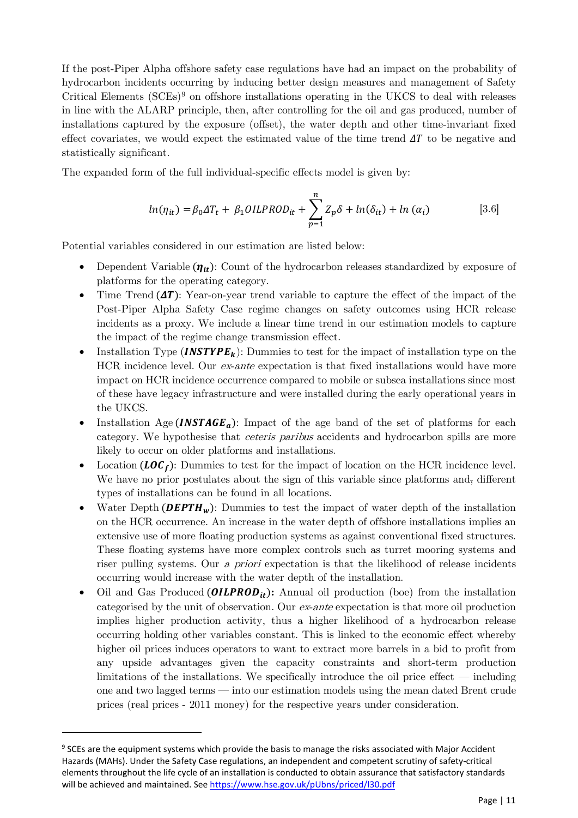If the post-Piper Alpha offshore safety case regulations have had an impact on the probability of hydrocarbon incidents occurring by inducing better design measures and management of Safety Critical Elements  $(SCEs)$ <sup>[9](#page-10-0)</sup> on offshore installations operating in the UKCS to deal with releases in line with the ALARP principle, then, after controlling for the oil and gas produced, number of installations captured by the exposure (offset), the water depth and other time-invariant fixed effect covariates, we would expect the estimated value of the time trend  $\Delta T$  to be negative and statistically significant.

The expanded form of the full individual-specific effects model is given by:

$$
ln(\eta_{it}) = \beta_0 \Delta T_t + \beta_1 OILPROD_{it} + \sum_{p=1}^{n} Z_p \delta + ln(\delta_{it}) + ln(\alpha_i)
$$
 [3.6]

Potential variables considered in our estimation are listed below:

- Dependent Variable  $(\eta_{it})$ : Count of the hydrocarbon releases standardized by exposure of platforms for the operating category.
- Time Trend  $(\Delta T)$ : Year-on-year trend variable to capture the effect of the impact of the Post-Piper Alpha Safety Case regime changes on safety outcomes using HCR release incidents as a proxy. We include a linear time trend in our estimation models to capture the impact of the regime change transmission effect.
- Installation Type (*INSTYPE<sub>k</sub>*): Dummies to test for the impact of installation type on the HCR incidence level. Our ex-ante expectation is that fixed installations would have more impact on HCR incidence occurrence compared to mobile or subsea installations since most of these have legacy infrastructure and were installed during the early operational years in the UKCS.
- Installation Age (*INSTAGE<sub>a</sub>*): Impact of the age band of the set of platforms for each category. We hypothesise that ceteris paribus accidents and hydrocarbon spills are more likely to occur on older platforms and installations.
- Location ( $LOG_f$ ): Dummies to test for the impact of location on the HCR incidence level. We have no prior postulates about the sign of this variable since platforms and, different types of installations can be found in all locations.
- Water Depth (*DEPTH<sub>w</sub>*): Dummies to test the impact of water depth of the installation on the HCR occurrence. An increase in the water depth of offshore installations implies an extensive use of more floating production systems as against conventional fixed structures. These floating systems have more complex controls such as turret mooring systems and riser pulling systems. Our a priori expectation is that the likelihood of release incidents occurring would increase with the water depth of the installation.
- Oil and Gas Produced  $(OILPROD_{it})$ : Annual oil production (boe) from the installation categorised by the unit of observation. Our ex-ante expectation is that more oil production implies higher production activity, thus a higher likelihood of a hydrocarbon release occurring holding other variables constant. This is linked to the economic effect whereby higher oil prices induces operators to want to extract more barrels in a bid to profit from any upside advantages given the capacity constraints and short-term production limitations of the installations. We specifically introduce the oil price effect — including one and two lagged terms — into our estimation models using the mean dated Brent crude prices (real prices - 2011 money) for the respective years under consideration.

<span id="page-10-0"></span><sup>&</sup>lt;sup>9</sup> SCEs are the equipment systems which provide the basis to manage the risks associated with Major Accident Hazards (MAHs). Under the Safety Case regulations, an independent and competent scrutiny of safety-critical elements throughout the life cycle of an installation is conducted to obtain assurance that satisfactory standards will be achieved and maintained. Se[e https://www.hse.gov.uk/pUbns/priced/l30.pdf](https://www.hse.gov.uk/pUbns/priced/l30.pdf)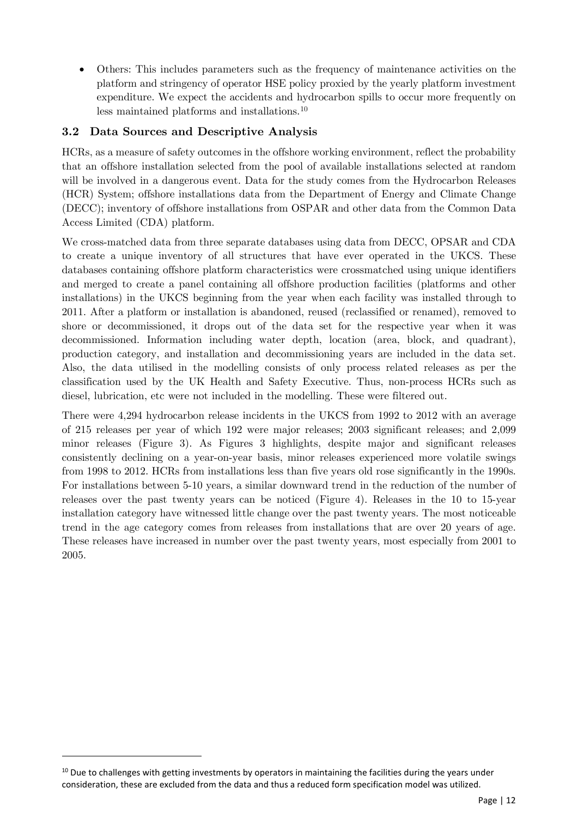• Others: This includes parameters such as the frequency of maintenance activities on the platform and stringency of operator HSE policy proxied by the yearly platform investment expenditure. We expect the accidents and hydrocarbon spills to occur more frequently on less maintained platforms and installations[.10](#page-11-0)

## **3.2 Data Sources and Descriptive Analysis**

HCRs, as a measure of safety outcomes in the offshore working environment, reflect the probability that an offshore installation selected from the pool of available installations selected at random will be involved in a dangerous event. Data for the study comes from the Hydrocarbon Releases (HCR) System; offshore installations data from the Department of Energy and Climate Change (DECC); inventory of offshore installations from OSPAR and other data from the Common Data Access Limited (CDA) platform.

We cross-matched data from three separate databases using data from DECC, OPSAR and CDA to create a unique inventory of all structures that have ever operated in the UKCS. These databases containing offshore platform characteristics were crossmatched using unique identifiers and merged to create a panel containing all offshore production facilities (platforms and other installations) in the UKCS beginning from the year when each facility was installed through to 2011. After a platform or installation is abandoned, reused (reclassified or renamed), removed to shore or decommissioned, it drops out of the data set for the respective year when it was decommissioned. Information including water depth, location (area, block, and quadrant), production category, and installation and decommissioning years are included in the data set. Also, the data utilised in the modelling consists of only process related releases as per the classification used by the UK Health and Safety Executive. Thus, non-process HCRs such as diesel, lubrication, etc were not included in the modelling. These were filtered out.

There were 4,294 hydrocarbon release incidents in the UKCS from 1992 to 2012 with an average of 215 releases per year of which 192 were major releases; 2003 significant releases; and 2,099 minor releases (Figure 3). As Figures 3 highlights, despite major and significant releases consistently declining on a year-on-year basis, minor releases experienced more volatile swings from 1998 to 2012. HCRs from installations less than five years old rose significantly in the 1990s. For installations between 5-10 years, a similar downward trend in the reduction of the number of releases over the past twenty years can be noticed (Figure 4). Releases in the 10 to 15-year installation category have witnessed little change over the past twenty years. The most noticeable trend in the age category comes from releases from installations that are over 20 years of age. These releases have increased in number over the past twenty years, most especially from 2001 to 2005.

<span id="page-11-0"></span> $10$  Due to challenges with getting investments by operators in maintaining the facilities during the years under consideration, these are excluded from the data and thus a reduced form specification model was utilized.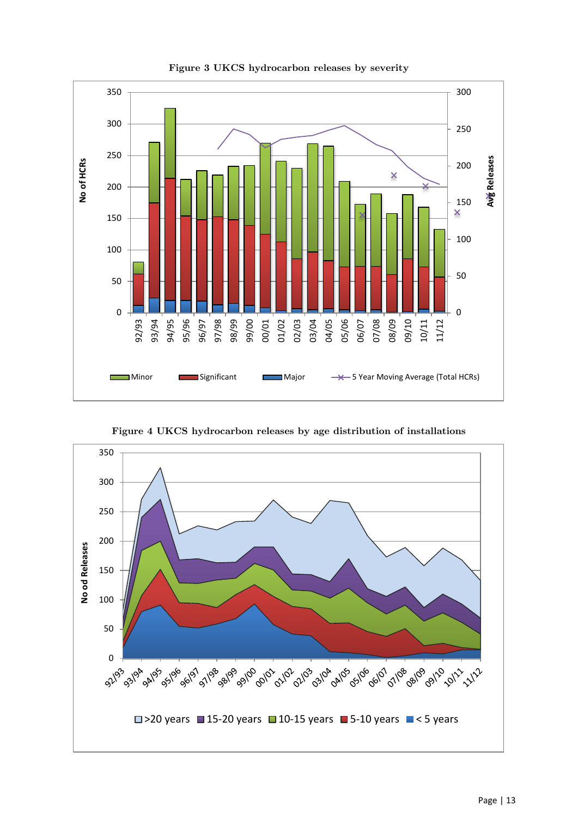

**Figure 3 UKCS hydrocarbon releases by severity**

**Figure 4 UKCS hydrocarbon releases by age distribution of installations** 

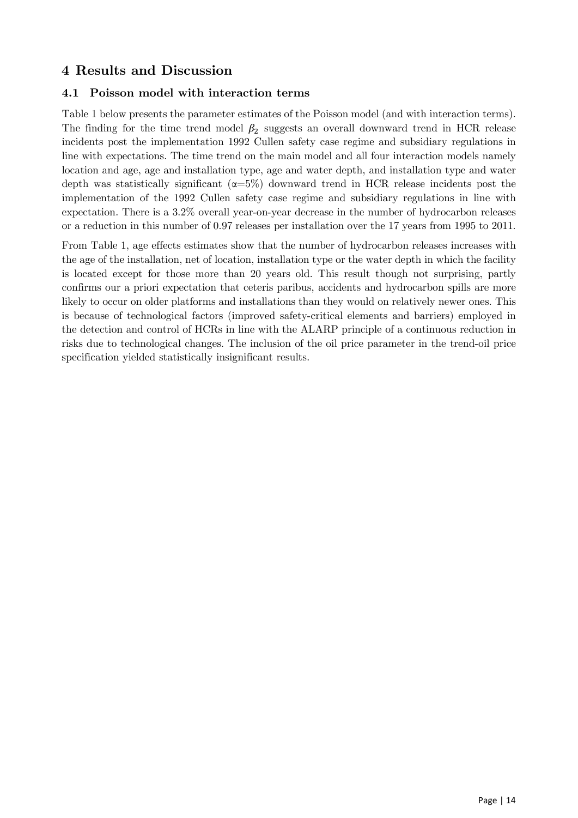# <span id="page-13-0"></span>**4 Results and Discussion**

## **4.1 Poisson model with interaction terms**

Table 1 below presents the parameter estimates of the Poisson model (and with interaction terms). The finding for the time trend model  $\beta_2$  suggests an overall downward trend in HCR release incidents post the implementation 1992 Cullen safety case regime and subsidiary regulations in line with expectations. The time trend on the main model and all four interaction models namely location and age, age and installation type, age and water depth, and installation type and water depth was statistically significant  $(\alpha=5\%)$  downward trend in HCR release incidents post the implementation of the 1992 Cullen safety case regime and subsidiary regulations in line with expectation. There is a 3.2% overall year-on-year decrease in the number of hydrocarbon releases or a reduction in this number of 0.97 releases per installation over the 17 years from 1995 to 2011.

From Table 1, age effects estimates show that the number of hydrocarbon releases increases with the age of the installation, net of location, installation type or the water depth in which the facility is located except for those more than 20 years old. This result though not surprising, partly confirms our a priori expectation that ceteris paribus, accidents and hydrocarbon spills are more likely to occur on older platforms and installations than they would on relatively newer ones. This is because of technological factors (improved safety-critical elements and barriers) employed in the detection and control of HCRs in line with the ALARP principle of a continuous reduction in risks due to technological changes. The inclusion of the oil price parameter in the trend-oil price specification yielded statistically insignificant results.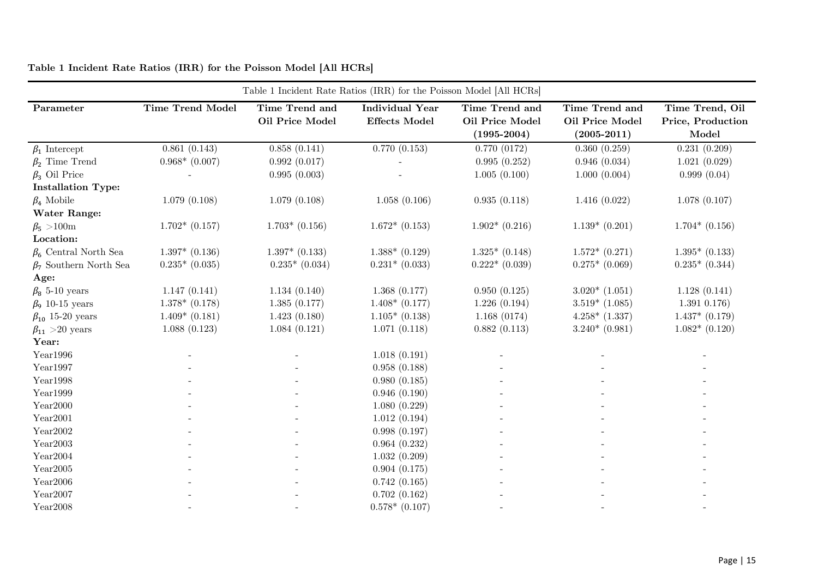<span id="page-14-0"></span>

| Table 1 Incident Rate Ratios (IRR) for the Poisson Model [All HCRs] |                         |                                   |                                                |                                                      |                                                      |                                               |  |
|---------------------------------------------------------------------|-------------------------|-----------------------------------|------------------------------------------------|------------------------------------------------------|------------------------------------------------------|-----------------------------------------------|--|
| Parameter                                                           | <b>Time Trend Model</b> | Time Trend and<br>Oil Price Model | <b>Individual Year</b><br><b>Effects Model</b> | Time Trend and<br>Oil Price Model<br>$(1995 - 2004)$ | Time Trend and<br>Oil Price Model<br>$(2005 - 2011)$ | Time Trend, Oil<br>Price, Production<br>Model |  |
| $\beta_1$ Intercept                                                 | 0.861(0.143)            | 0.858(0.141)                      | 0.770(0.153)                                   | 0.770(0172)                                          | 0.360(0.259)                                         | 0.231(0.209)                                  |  |
| $\beta_2$ Time Trend                                                | $0.968*$ (0.007)        | 0.992(0.017)                      |                                                | 0.995(0.252)                                         | 0.946(0.034)                                         | 1.021(0.029)                                  |  |
| $\beta_3$ Oil Price                                                 |                         | 0.995(0.003)                      |                                                | 1.005(0.100)                                         | 1.000(0.004)                                         | 0.999(0.04)                                   |  |
| <b>Installation Type:</b>                                           |                         |                                   |                                                |                                                      |                                                      |                                               |  |
| $\beta_4$ Mobile                                                    | 1.079(0.108)            | 1.079(0.108)                      | 1.058(0.106)                                   | 0.935(0.118)                                         | 1.416(0.022)                                         | 1.078(0.107)                                  |  |
| <b>Water Range:</b>                                                 |                         |                                   |                                                |                                                      |                                                      |                                               |  |
| $\beta_5 > 100$ m                                                   | $1.702*(0.157)$         | $1.703*$ (0.156)                  | $1.672*(0.153)$                                | $1.902*(0.216)$                                      | $1.139*(0.201)$                                      | $1.704*(0.156)$                               |  |
| Location:                                                           |                         |                                   |                                                |                                                      |                                                      |                                               |  |
| $\beta_6$ Central North Sea                                         | $1.397*$ (0.136)        | $1.397*$ (0.133)                  | $1.388*$ (0.129)                               | $1.325*(0.148)$                                      | $1.572*(0.271)$                                      | $1.395*$ (0.133)                              |  |
| $\beta_7$ Southern North Sea                                        | $0.235*(0.035)$         | $0.235*(0.034)$                   | $0.231*$ $(0.033)$                             | $0.222*(0.039)$                                      | $0.275*(0.069)$                                      | $0.235*(0.344)$                               |  |
| Age:                                                                |                         |                                   |                                                |                                                      |                                                      |                                               |  |
| $\beta_8$ 5-10 years                                                | 1.147(0.141)            | 1.134(0.140)                      | 1.368(0.177)                                   | 0.950(0.125)                                         | $3.020*(1.051)$                                      | 1.128(0.141)                                  |  |
| $\beta_9$ 10-15 years                                               | $1.378*$ (0.178)        | 1.385(0.177)                      | $1.408*$ (0.177)                               | 1.226(0.194)                                         | $3.519*$ (1.085)                                     | $1.391\;0.176)$                               |  |
| $\beta_{10}$ 15-20 years                                            | $1.409*(0.181)$         | 1.423(0.180)                      | $1.105*(0.138)$                                | 1.168(0174)                                          | $4.258*$ $(1.337)$                                   | $1.437*$ $(0.179)$                            |  |
| $\beta_{11} > 20$ years                                             | 1.088(0.123)            | 1.084(0.121)                      | 1.071(0.118)                                   | 0.882(0.113)                                         | $3.240*(0.981)$                                      | $1.082*(0.120)$                               |  |
| Year:                                                               |                         |                                   |                                                |                                                      |                                                      |                                               |  |
| Year1996                                                            |                         |                                   | 1.018(0.191)                                   |                                                      |                                                      |                                               |  |
| Year1997                                                            |                         |                                   | 0.958(0.188)                                   |                                                      |                                                      |                                               |  |
| Year1998                                                            |                         |                                   | 0.980(0.185)                                   |                                                      |                                                      |                                               |  |
| Year1999                                                            |                         |                                   | 0.946(0.190)                                   |                                                      |                                                      |                                               |  |
| Year2000                                                            |                         |                                   | 1.080(0.229)                                   |                                                      |                                                      |                                               |  |
| Year2001                                                            |                         |                                   | 1.012(0.194)                                   |                                                      |                                                      |                                               |  |
| $\mathrm{Year}2002$                                                 |                         |                                   | 0.998(0.197)                                   |                                                      |                                                      |                                               |  |
| Year2003                                                            |                         |                                   | 0.964(0.232)                                   |                                                      |                                                      |                                               |  |
| Year2004                                                            |                         |                                   | 1.032(0.209)                                   |                                                      |                                                      |                                               |  |
| Year2005                                                            |                         |                                   | 0.904(0.175)                                   |                                                      |                                                      |                                               |  |
| Year2006                                                            |                         |                                   | 0.742(0.165)                                   |                                                      |                                                      |                                               |  |
| Year2007                                                            |                         |                                   | 0.702(0.162)                                   |                                                      |                                                      |                                               |  |
| Year2008                                                            |                         |                                   | $0.578*$ (0.107)                               |                                                      |                                                      |                                               |  |

**Table 1 Incident Rate Ratios (IRR) for the Poisson Model [All HCRs]**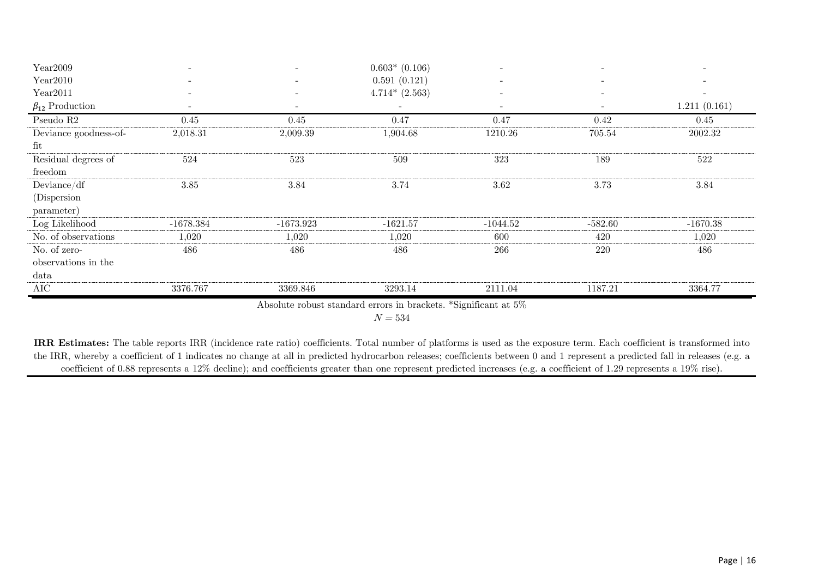| Year2009                                                        | $\overline{\phantom{a}}$ |             | $0.603*$ (0.106) |                          | $\overline{\phantom{a}}$ |                              |  |
|-----------------------------------------------------------------|--------------------------|-------------|------------------|--------------------------|--------------------------|------------------------------|--|
| Year2010                                                        |                          |             | 0.591(0.121)     |                          |                          | $\sim$                       |  |
| Year2011                                                        | $\overline{\phantom{0}}$ |             | $4.714*(2.563)$  | $\overline{\phantom{a}}$ |                          | $\qquad \qquad \blacksquare$ |  |
| $\beta_{12}$ Production                                         | $\overline{\phantom{a}}$ |             |                  | $\overline{\phantom{a}}$ |                          | 1.211(0.161)                 |  |
| Pseudo $R2$                                                     | 0.45                     | 0.45        | 0.47             | 0.47                     | 0.42                     | 0.45                         |  |
| Deviance goodness-of-                                           | 2,018.31                 | 2,009.39    | 1,904.68         | 1210.26                  | 705.54                   | 2002.32                      |  |
| fit                                                             |                          |             |                  |                          |                          |                              |  |
| Residual degrees of                                             | 524                      | 523         | 509              | 323                      | 189                      | 522                          |  |
| freedom                                                         |                          |             |                  |                          |                          |                              |  |
| Deviance/df                                                     | 3.85                     | 3.84        | 3.74             | 3.62                     | 3.73                     | 3.84                         |  |
| (Dispersion)                                                    |                          |             |                  |                          |                          |                              |  |
| parameter)                                                      |                          |             |                  |                          |                          |                              |  |
| Log Likelihood                                                  | $-1678.384$              | $-1673.923$ | $-1621.57$       | $-1044.52$               | $-582.60$                | $-1670.38$                   |  |
| No. of observations                                             | 1,020                    | 1,020       | 1,020            | 600                      | 420                      | 1,020                        |  |
| No. of zero-                                                    | 486                      | 486         | 486              | 266                      | 220                      | 486                          |  |
| observations in the                                             |                          |             |                  |                          |                          |                              |  |
| data                                                            |                          |             |                  |                          |                          |                              |  |
| AIC                                                             | 3376.767                 | 3369.846    | 3293.14          | 2111.04                  | 1187.21                  | 3364.77                      |  |
| Absolute robust standard errors in brackets. *Significant at 5% |                          |             |                  |                          |                          |                              |  |

 $N = 534$ 

**IRR Estimates:** The table reports IRR (incidence rate ratio) coefficients. Total number of platforms is used as the exposure term. Each coefficient is transformed into the IRR, whereby a coefficient of 1 indicates no change at all in predicted hydrocarbon releases; coefficients between 0 and 1 represent a predicted fall in releases (e.g. a coefficient of 0.88 represents a 12% decline); and coefficients greater than one represent predicted increases (e.g. a coefficient of 1.29 represents a 19% rise).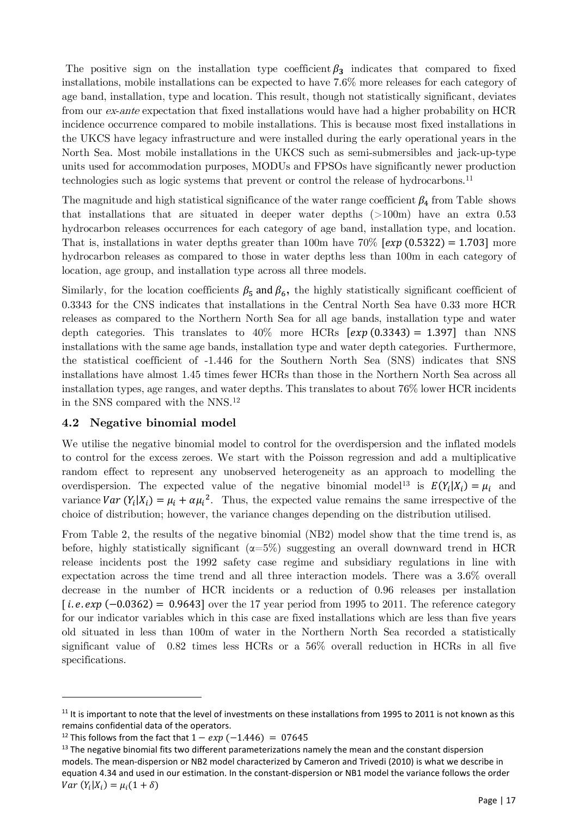The positive sign on the installation type coefficient  $\beta_3$  indicates that compared to fixed installations, mobile installations can be expected to have 7.6% more releases for each category of age band, installation, type and location. This result, though not statistically significant, deviates from our ex-ante expectation that fixed installations would have had a higher probability on HCR incidence occurrence compared to mobile installations. This is because most fixed installations in the UKCS have legacy infrastructure and were installed during the early operational years in the North Sea. Most mobile installations in the UKCS such as semi-submersibles and jack-up-type units used for accommodation purposes, MODUs and FPSOs have significantly newer production technologies such as logic systems that prevent or control the release of hydrocarbons.[11](#page-16-0)

The magnitude and high statistical significance of the water range coefficient  $\beta_4$  from [Table](#page-14-0) shows that installations that are situated in deeper water depths (>100m) have an extra 0.53 hydrocarbon releases occurrences for each category of age band, installation type, and location. That is, installations in water depths greater than 100m have  $70\%$  [ $exp(0.5322) = 1.703$ ] more hydrocarbon releases as compared to those in water depths less than 100m in each category of location, age group, and installation type across all three models.

Similarly, for the location coefficients  $\beta_5$  and  $\beta_6$ , the highly statistically significant coefficient of 0.3343 for the CNS indicates that installations in the Central North Sea have 0.33 more HCR releases as compared to the Northern North Sea for all age bands, installation type and water depth categories. This translates to  $40\%$  more HCRs  $[exp(0.3343) = 1.397]$  than NNS installations with the same age bands, installation type and water depth categories. Furthermore, the statistical coefficient of -1.446 for the Southern North Sea (SNS) indicates that SNS installations have almost 1.45 times fewer HCRs than those in the Northern North Sea across all installation types, age ranges, and water depths. This translates to about 76% lower HCR incidents in the SNS compared with the NNS.[12](#page-16-1)

#### **4.2 Negative binomial model**

We utilise the negative binomial model to control for the overdispersion and the inflated models to control for the excess zeroes. We start with the Poisson regression and add a multiplicative random effect to represent any unobserved heterogeneity as an approach to modelling the overdispersion. The expected value of the negative binomial model<sup>[13](#page-16-2)</sup> is  $E(Y_i|X_i) = \mu_i$  and variance  $Var(Y_i|X_i) = \mu_i + \alpha \mu_i^2$ . Thus, the expected value remains the same irrespective of the choice of distribution; however, the variance changes depending on the distribution utilised.

From Table 2, the results of the negative binomial (NB2) model show that the time trend is, as before, highly statistically significant  $(\alpha=5\%)$  suggesting an overall downward trend in HCR release incidents post the 1992 safety case regime and subsidiary regulations in line with expectation across the time trend and all three interaction models. There was a 3.6% overall decrease in the number of HCR incidents or a reduction of 0.96 releases per installation [ $i.e. exp(-0.0362) = 0.9643$ ] over the 17 year period from 1995 to 2011. The reference category for our indicator variables which in this case are fixed installations which are less than five years old situated in less than 100m of water in the Northern North Sea recorded a statistically significant value of 0.82 times less HCRs or a 56% overall reduction in HCRs in all five specifications.

<span id="page-16-0"></span> $11$  It is important to note that the level of investments on these installations from 1995 to 2011 is not known as this remains confidential data of the operators.<br><sup>12</sup> This follows from the fact that  $1 - exp(-1.446) = 07645$ <br><sup>13</sup> The negative binomial fits two different parameterizations namely the mean and the constant dispersion

<span id="page-16-1"></span>

<span id="page-16-2"></span>models. The mean-dispersion or NB2 model characterized by Cameron and Trivedi (2010) is what we describe in equation 4.34 and used in our estimation. In the constant-dispersion or NB1 model the variance follows the order  $Var(Y_i|X_i) = \mu_i(1 + \delta)$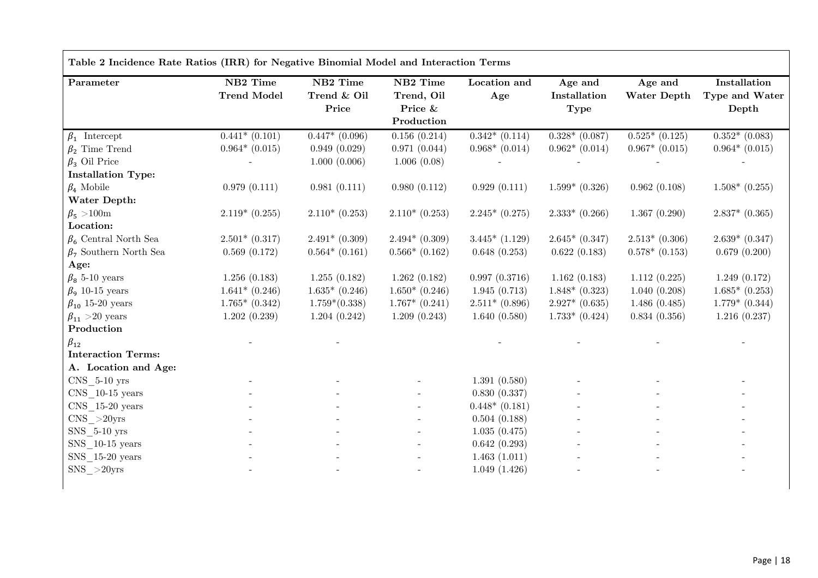| Parameter                               | NB2 Time           | NB2 Time                     | NB2 Time           | Location and       | Age and            | Age and            | Installation       |
|-----------------------------------------|--------------------|------------------------------|--------------------|--------------------|--------------------|--------------------|--------------------|
|                                         | <b>Trend Model</b> | Trend & Oil                  | Trend, Oil         | Age                | Installation       | Water Depth        | Type and Water     |
|                                         |                    | Price                        | Price &            |                    | <b>Type</b>        |                    | Depth              |
|                                         |                    |                              | Production         |                    |                    |                    |                    |
| $\beta_1$ Intercept                     | $0.441*(0.101)$    | $\overline{0.447}^* (0.096)$ | 0.156(0.214)       | $0.342*(0.114)$    | $0.328*(0.087)$    | $0.525*(0.125)$    | $0.352*$ (0.083)   |
| $\beta_2$ Time Trend                    | $0.964*(0.015)$    | 0.949(0.029)                 | 0.971(0.044)       | $0.968*$ $(0.014)$ | $0.962*(0.014)$    | $0.967*$ $(0.015)$ | $0.964*(0.015)$    |
| $\beta_3$ Oil Price                     |                    | 1.000(0.006)                 | 1.006(0.08)        |                    |                    |                    |                    |
| <b>Installation Type:</b>               |                    |                              |                    |                    |                    |                    |                    |
| $\beta_4$ Mobile                        | 0.979(0.111)       | 0.981(0.111)                 | 0.980(0.112)       | 0.929(0.111)       | $1.599*$ (0.326)   | 0.962(0.108)       | $1.508*$ (0.255)   |
| Water Depth:                            |                    |                              |                    |                    |                    |                    |                    |
| $\beta_5 > 100$ m                       | $2.119*(0.255)$    | $2.110*(0.253)$              | $2.110*(0.253)$    | $2.245*(0.275)$    | $2.333*$ (0.266)   | 1.367(0.290)       | $2.837*$ $(0.365)$ |
| Location:                               |                    |                              |                    |                    |                    |                    |                    |
| $\beta_6$ Central North Sea             | $2.501*$ (0.317)   | $2.491*$ (0.309)             | $2.494*$ (0.309)   | $3.445*$ $(1.129)$ | $2.645*(0.347)$    | $2.513*(0.306)$    | $2.639* (0.347)$   |
| $\beta$ <sub>7</sub> Southern North Sea | 0.569(0.172)       | $0.564*$ $(0.161)$           | $0.566*$ (0.162)   | 0.648(0.253)       | 0.622(0.183)       | $0.578*(0.153)$    | 0.679(0.200)       |
| Age:                                    |                    |                              |                    |                    |                    |                    |                    |
| $\beta_8$ 5-10 years                    | 1.256(0.183)       | 1.255(0.182)                 | 1.262(0.182)       | 0.997(0.3716)      | 1.162(0.183)       | 1.112(0.225)       | 1.249(0.172)       |
| $\beta_9$ 10-15 years                   | $1.641*$ (0.246)   | $1.635*$ (0.246)             | $1.650*(0.246)$    | 1.945(0.713)       | $1.848*$ (0.323)   | 1.040(0.208)       | $1.685*$ (0.253)   |
| $\beta_{10}$ 15-20 years                | $1.765*$ $(0.342)$ | $1.759*(0.338)$              | $1.767*$ $(0.241)$ | $2.511*(0.896)$    | $2.927*$ $(0.635)$ | 1.486(0.485)       | $1.779*$ $(0.344)$ |
| $\beta_{11} > 20$ years                 | 1.202(0.239)       | 1.204(0.242)                 | 1.209(0.243)       | 1.640(0.580)       | $1.733*$ $(0.424)$ | 0.834(0.356)       | 1.216(0.237)       |
| Production                              |                    |                              |                    |                    |                    |                    |                    |
| $\beta_{12}$                            |                    |                              |                    |                    |                    |                    |                    |
| <b>Interaction Terms:</b>               |                    |                              |                    |                    |                    |                    |                    |
| A. Location and Age:                    |                    |                              |                    |                    |                    |                    |                    |
| CNS 5-10 yrs                            |                    |                              |                    | 1.391(0.580)       |                    |                    |                    |
| $CNS$ 10-15 years                       |                    |                              |                    | 0.830(0.337)       |                    |                    |                    |
| CNS 15-20 years                         |                    |                              |                    | $0.448*(0.181)$    |                    |                    |                    |
| $CNS$ $>$ 20yrs                         |                    |                              |                    | 0.504(0.188)       |                    |                    |                    |
| SNS 5-10 yrs                            |                    |                              |                    | 1.035(0.475)       |                    |                    |                    |
| SNS 10-15 years                         |                    |                              |                    | 0.642(0.293)       |                    |                    |                    |
| SNS 15-20 years                         |                    |                              |                    | 1.463(1.011)       |                    |                    |                    |
| $SNS_$ $>$ $20yrs$                      |                    |                              |                    | 1.049(1.426)       |                    |                    |                    |

 $\Gamma$ 

Page | 18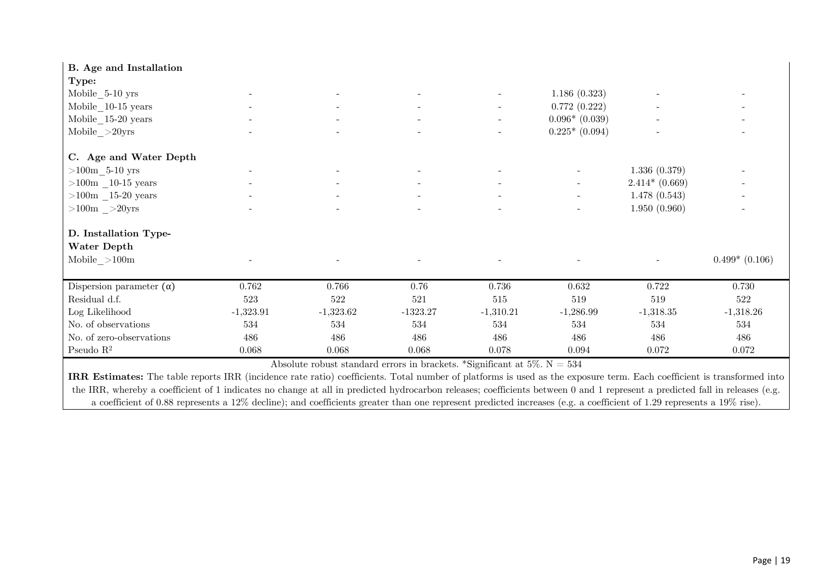| <b>B.</b> Age and Installation                                                                                                                                           |             |             |            |                          |                          |                 |                  |
|--------------------------------------------------------------------------------------------------------------------------------------------------------------------------|-------------|-------------|------------|--------------------------|--------------------------|-----------------|------------------|
| Type:                                                                                                                                                                    |             |             |            |                          |                          |                 |                  |
| $Mobile\_5-10$ yrs                                                                                                                                                       |             |             |            | $\overline{\phantom{a}}$ | 1.186(0.323)             |                 |                  |
| $Mobile\_10-15 \text{ years}$                                                                                                                                            |             |             |            |                          | 0.772(0.222)             |                 |                  |
| $Mobile\_15-20 \text{ years}$                                                                                                                                            |             |             |            | $\sim$                   | $0.096*$ (0.039)         |                 |                  |
| $Mobile \_ >20yrs$                                                                                                                                                       |             |             |            | $\blacksquare$           | $0.225*(0.094)$          |                 |                  |
| C. Age and Water Depth                                                                                                                                                   |             |             |            |                          |                          |                 |                  |
| ${>}100\mathrm{m}$ -5-10 yrs                                                                                                                                             |             |             |            |                          |                          | 1.336(0.379)    |                  |
| $>100m$ – $10-15$ years                                                                                                                                                  |             |             |            |                          | $\overline{\phantom{a}}$ | $2.414*(0.669)$ |                  |
| ${>}100\mathrm{m}$ _15-20 years                                                                                                                                          |             |             |            |                          | $\overline{\phantom{a}}$ | 1.478(0.543)    |                  |
| $>100$ m $>20$ yrs                                                                                                                                                       |             |             |            |                          |                          | 1.950(0.960)    |                  |
| D. Installation Type-                                                                                                                                                    |             |             |            |                          |                          |                 |                  |
| Water Depth                                                                                                                                                              |             |             |            |                          |                          |                 |                  |
| Mobile ${>}100\mathrm{m}$                                                                                                                                                |             |             |            |                          |                          |                 | $0.499*$ (0.106) |
| Dispersion parameter $(\alpha)$                                                                                                                                          | 0.762       | 0.766       | 0.76       | 0.736                    | $0.632\,$                | $0.722\,$       | 0.730            |
| Residual d.f.                                                                                                                                                            | $523\,$     | $522\,$     | 521        | 515                      | 519                      | 519             | $522\,$          |
| Log Likelihood                                                                                                                                                           | $-1,323.91$ | $-1,323.62$ | $-1323.27$ | $-1,310.21$              | $-1,286.99$              | $-1,318.35$     | $-1,318.26$      |
| No. of observations                                                                                                                                                      | 534         | 534         | 534        | 534                      | 534                      | 534             | 534              |
| No. of zero-observations                                                                                                                                                 | 486         | 486         | 486        | 486                      | 486                      | 486             | 486              |
| Pseudo $\mathbb{R}^2$                                                                                                                                                    | 0.068       | 0.068       | 0.068      | 0.078                    | 0.094                    | 0.072           | 0.072            |
| Absolute robust standard errors in brackets. *Significant at 5%. $N = 534$                                                                                               |             |             |            |                          |                          |                 |                  |
| $TDM \t/2$ $1$<br>the contract of the contract of the contract of<br>$T \cap T \cap T$<br>$20 + 1$ m $1$ 1<br>$\mathbf{c}$ and $\mathbf{c}$<br>$\mathbf{r}$ $\mathbf{r}$ |             |             |            |                          |                          |                 |                  |

**IRR Estimates:** The table reports IRR (incidence rate ratio) coefficients. Total number of platforms is used as the exposure term. Each coefficient is transformed into the IRR, whereby a coefficient of 1 indicates no change at all in predicted hydrocarbon releases; coefficients between 0 and 1 represent a predicted fall in releases (e.g. a coefficient of 0.88 represents a 12% decline); and coefficients greater than one represent predicted increases (e.g. a coefficient of 1.29 represents a 19% rise).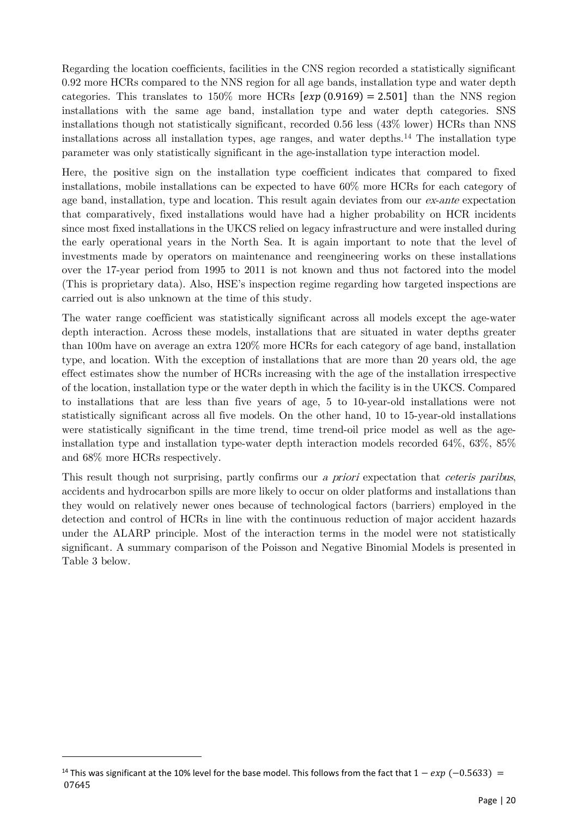Regarding the location coefficients, facilities in the CNS region recorded a statistically significant 0.92 more HCRs compared to the NNS region for all age bands, installation type and water depth categories. This translates to  $150\%$  more HCRs  $[exp(0.9169) = 2.501]$  than the NNS region installations with the same age band, installation type and water depth categories. SNS installations though not statistically significant, recorded 0.56 less (43% lower) HCRs than NNS installations across all installation types, age ranges, and water depths.<sup>[14](#page-19-0)</sup> The installation type parameter was only statistically significant in the age-installation type interaction model.

Here, the positive sign on the installation type coefficient indicates that compared to fixed installations, mobile installations can be expected to have 60% more HCRs for each category of age band, installation, type and location. This result again deviates from our  $ex$ -ante expectation that comparatively, fixed installations would have had a higher probability on HCR incidents since most fixed installations in the UKCS relied on legacy infrastructure and were installed during the early operational years in the North Sea. It is again important to note that the level of investments made by operators on maintenance and reengineering works on these installations over the 17-year period from 1995 to 2011 is not known and thus not factored into the model (This is proprietary data). Also, HSE's inspection regime regarding how targeted inspections are carried out is also unknown at the time of this study.

The water range coefficient was statistically significant across all models except the age-water depth interaction. Across these models, installations that are situated in water depths greater than 100m have on average an extra 120% more HCRs for each category of age band, installation type, and location. With the exception of installations that are more than 20 years old, the age effect estimates show the number of HCRs increasing with the age of the installation irrespective of the location, installation type or the water depth in which the facility is in the UKCS. Compared to installations that are less than five years of age, 5 to 10-year-old installations were not statistically significant across all five models. On the other hand, 10 to 15-year-old installations were statistically significant in the time trend, time trend-oil price model as well as the ageinstallation type and installation type-water depth interaction models recorded 64%, 63%, 85% and 68% more HCRs respectively.

This result though not surprising, partly confirms our a *priori* expectation that *ceteris paribus*, accidents and hydrocarbon spills are more likely to occur on older platforms and installations than they would on relatively newer ones because of technological factors (barriers) employed in the detection and control of HCRs in line with the continuous reduction of major accident hazards under the ALARP principle. Most of the interaction terms in the model were not statistically significant. A summary comparison of the Poisson and Negative Binomial Models is presented in Table 3 below.

<span id="page-19-0"></span><sup>&</sup>lt;sup>14</sup> This was significant at the 10% level for the base model. This follows from the fact that  $1 - exp(-0.5633) =$ 07645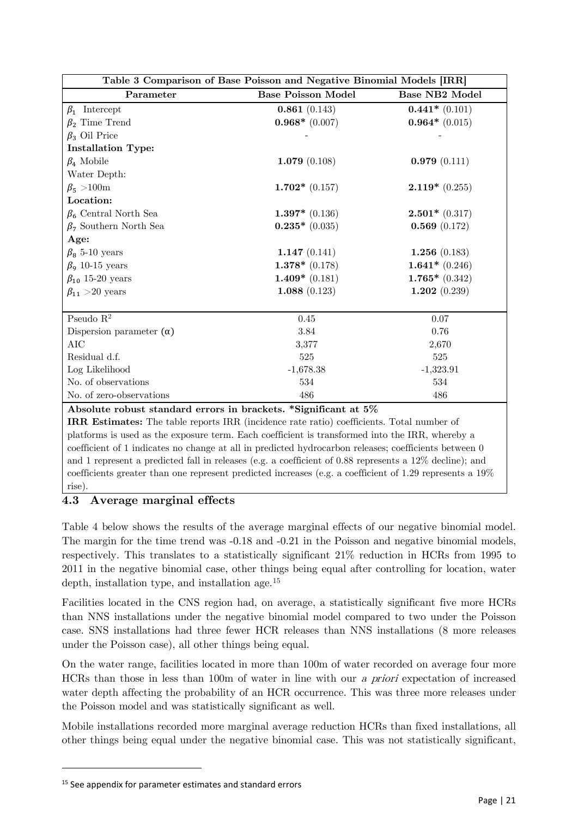| Table 3 Comparison of Base Poisson and Negative Binomial Models [IRR] |                           |                       |  |  |  |  |
|-----------------------------------------------------------------------|---------------------------|-----------------------|--|--|--|--|
| Parameter                                                             | <b>Base Poisson Model</b> | <b>Base NB2 Model</b> |  |  |  |  |
| $\beta_1$ Intercept                                                   | 0.861(0.143)              | $0.441*$ (0.101)      |  |  |  |  |
| $\beta_2$ Time Trend                                                  | $0.968*$ (0.007)          | $0.964*(0.015)$       |  |  |  |  |
| $\beta_3$ Oil Price                                                   |                           |                       |  |  |  |  |
| <b>Installation Type:</b>                                             |                           |                       |  |  |  |  |
| $\beta_4$ Mobile                                                      | 1.079(0.108)              | 0.979(0.111)          |  |  |  |  |
| Water Depth:                                                          |                           |                       |  |  |  |  |
| $\beta_5 > 100$ m                                                     | $1.702*(0.157)$           | $2.119*(0.255)$       |  |  |  |  |
| Location:                                                             |                           |                       |  |  |  |  |
| $\beta_6$ Central North Sea                                           | $1.397*$ (0.136)          | $2.501*$ (0.317)      |  |  |  |  |
| $\beta_7$ Southern North Sea                                          | $0.235*(0.035)$           | 0.569(0.172)          |  |  |  |  |
| Age:                                                                  |                           |                       |  |  |  |  |
| $\beta_8$ 5-10 years                                                  | 1.147 $(0.141)$           | 1.256 $(0.183)$       |  |  |  |  |
| $\beta_9$ 10-15 years                                                 | $1.378*$ (0.178)          | $1.641*$ (0.246)      |  |  |  |  |
| $\beta_{10}$ 15-20 years                                              | $1.409*$ (0.181)          | $1.765*$ (0.342)      |  |  |  |  |
| $\beta_{11} > 20$ years                                               | 1.088 $(0.123)$           | 1.202 $(0.239)$       |  |  |  |  |
|                                                                       |                           |                       |  |  |  |  |
| Pseudo $\mathbf{R}^2$                                                 | 0.45                      | 0.07                  |  |  |  |  |
| Dispersion parameter $(\alpha)$                                       | 3.84                      | 0.76                  |  |  |  |  |
| <b>AIC</b>                                                            | 3,377                     | 2,670                 |  |  |  |  |
| Residual d.f.                                                         | 525                       | 525                   |  |  |  |  |
| Log Likelihood                                                        | $-1,678.38$               | $-1,323.91$           |  |  |  |  |
| No. of observations                                                   | 534                       | 534                   |  |  |  |  |
| No. of zero-observations                                              | 486                       | 486                   |  |  |  |  |

#### **Absolute robust standard errors in brackets. \*Significant at 5%**

**IRR Estimates:** The table reports IRR (incidence rate ratio) coefficients. Total number of platforms is used as the exposure term. Each coefficient is transformed into the IRR, whereby a coefficient of 1 indicates no change at all in predicted hydrocarbon releases; coefficients between 0 and 1 represent a predicted fall in releases (e.g. a coefficient of 0.88 represents a 12% decline); and coefficients greater than one represent predicted increases (e.g. a coefficient of 1.29 represents a 19% rise)

#### **4.3 Average marginal effects**

Table 4 below shows the results of the average marginal effects of our negative binomial model. The margin for the time trend was -0.18 and -0.21 in the Poisson and negative binomial models, respectively. This translates to a statistically significant 21% reduction in HCRs from 1995 to 2011 in the negative binomial case, other things being equal after controlling for location, water depth, installation type, and installation age.[15](#page-20-0)

Facilities located in the CNS region had, on average, a statistically significant five more HCRs than NNS installations under the negative binomial model compared to two under the Poisson case. SNS installations had three fewer HCR releases than NNS installations (8 more releases under the Poisson case), all other things being equal.

On the water range, facilities located in more than 100m of water recorded on average four more HCRs than those in less than 100m of water in line with our a priori expectation of increased water depth affecting the probability of an HCR occurrence. This was three more releases under the Poisson model and was statistically significant as well.

Mobile installations recorded more marginal average reduction HCRs than fixed installations, all other things being equal under the negative binomial case. This was not statistically significant,

<span id="page-20-0"></span><sup>&</sup>lt;sup>15</sup> See appendix for parameter estimates and standard errors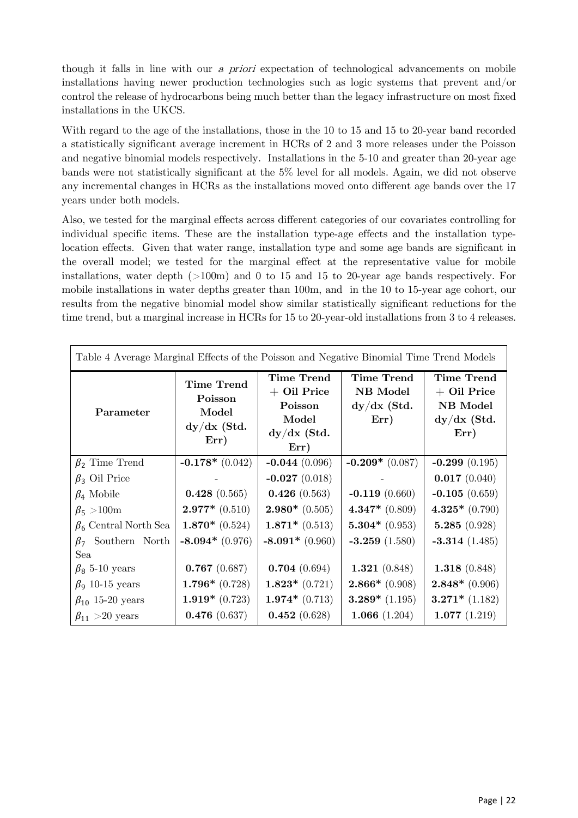though it falls in line with our a priori expectation of technological advancements on mobile installations having newer production technologies such as logic systems that prevent and/or control the release of hydrocarbons being much better than the legacy infrastructure on most fixed installations in the UKCS.

With regard to the age of the installations, those in the 10 to 15 and 15 to 20-year band recorded a statistically significant average increment in HCRs of 2 and 3 more releases under the Poisson and negative binomial models respectively. Installations in the 5-10 and greater than 20-year age bands were not statistically significant at the 5% level for all models. Again, we did not observe any incremental changes in HCRs as the installations moved onto different age bands over the 17 years under both models.

Also, we tested for the marginal effects across different categories of our covariates controlling for individual specific items. These are the installation type-age effects and the installation typelocation effects. Given that water range, installation type and some age bands are significant in the overall model; we tested for the marginal effect at the representative value for mobile installations, water depth  $(>100<sub>m</sub>)$  and 0 to 15 and 15 to 20-year age bands respectively. For mobile installations in water depths greater than 100m, and in the 10 to 15-year age cohort, our results from the negative binomial model show similar statistically significant reductions for the time trend, but a marginal increase in HCRs for 15 to 20-year-old installations from 3 to 4 releases.

| Table 4 Average Marginal Effects of the Poisson and Negative Binomial Time Trend Models |                                                                |                                                                                 |                                                        |                                                                         |  |  |  |
|-----------------------------------------------------------------------------------------|----------------------------------------------------------------|---------------------------------------------------------------------------------|--------------------------------------------------------|-------------------------------------------------------------------------|--|--|--|
| Parameter                                                                               | <b>Time Trend</b><br>Poisson<br>Model<br>$dy/dx$ (Std.<br>Err) | <b>Time Trend</b><br>$+$ Oil Price<br>Poisson<br>Model<br>$dy/dx$ (Std.<br>Err) | <b>Time Trend</b><br>NB Model<br>$dy/dx$ (Std.<br>Err) | <b>Time Trend</b><br>$+$ Oil Price<br>NB Model<br>$dy/dx$ (Std.<br>Err) |  |  |  |
| $\beta_2$ Time Trend                                                                    | $-0.178*(0.042)$                                               | $-0.044(0.096)$                                                                 | $-0.209*(0.087)$                                       | $-0.299(0.195)$                                                         |  |  |  |
| $\beta_3$ Oil Price                                                                     |                                                                | $-0.027(0.018)$                                                                 |                                                        | 0.017(0.040)                                                            |  |  |  |
| $\beta_4$ Mobile                                                                        | 0.428(0.565)                                                   | 0.426(0.563)                                                                    | $-0.119(0.660)$                                        | $-0.105(0.659)$                                                         |  |  |  |
| $\beta$ <sub>5</sub> > 100m                                                             | $2.977*$ (0.510)                                               | $2.980*$ (0.505)                                                                | $4.347*$ (0.809)                                       | $4.325*(0.790)$                                                         |  |  |  |
| $\beta_6$ Central North Sea                                                             | $1.870*$ (0.524)                                               | $1.871*$ (0.513)                                                                | $5.304*$ (0.953)                                       | 5.285(0.928)                                                            |  |  |  |
| $\beta_7$ Southern North                                                                | $-8.094*(0.976)$                                               | $-8.091*(0.960)$                                                                | $-3.259(1.580)$                                        | $-3.314(1.485)$                                                         |  |  |  |
| Sea                                                                                     |                                                                |                                                                                 |                                                        |                                                                         |  |  |  |
| $\beta_8$ 5-10 years                                                                    | 0.767(0.687)                                                   | 0.704(0.694)                                                                    | 1.321 $(0.848)$                                        | 1.318 $(0.848)$                                                         |  |  |  |
| $\beta_9$ 10-15 years                                                                   | $1.796*(0.728)$                                                | $1.823*(0.721)$                                                                 | $2.866*$ (0.908)                                       | $2.848*$ (0.906)                                                        |  |  |  |
| $\beta_{10}$ 15-20 years                                                                | $1.919*(0.723)$                                                | $1.974*(0.713)$                                                                 | $3.289*$ (1.195)                                       | $3.271*$ (1.182)                                                        |  |  |  |
| $\beta_{11} > 20$ years                                                                 | 0.476(0.637)                                                   | 0.452(0.628)                                                                    | 1.066 $(1.204)$                                        | 1.077(1.219)                                                            |  |  |  |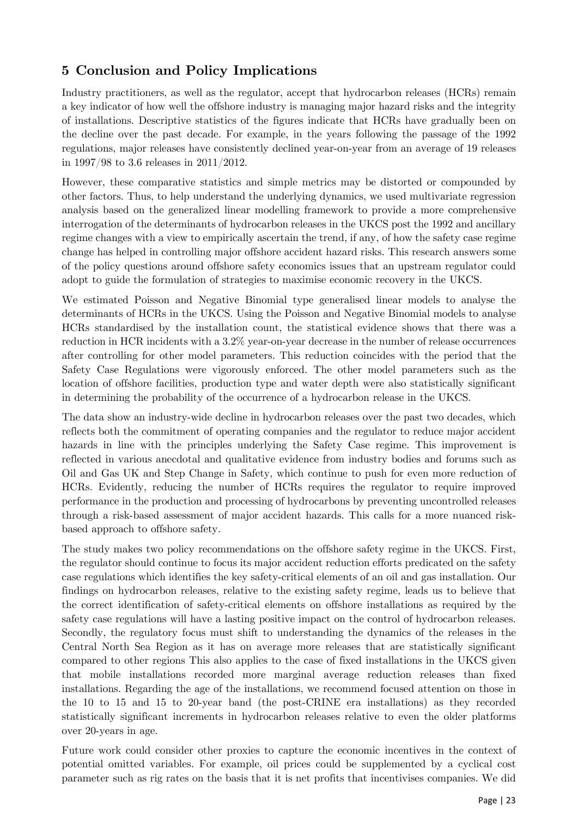# <span id="page-22-0"></span>**5 Conclusion and Policy Implications**

Industry practitioners, as well as the regulator, accept that hydrocarbon releases (HCRs) remain a key indicator of how well the offshore industry is managing major hazard risks and the integrity of installations. Descriptive statistics of the figures indicate that HCRs have gradually been on the decline over the past decade. For example, in the years following the passage of the 1992 regulations, major releases have consistently declined year-on-year from an average of 19 releases in 1997/98 to 3.6 releases in 2011/2012.

However, these comparative statistics and simple metrics may be distorted or compounded by other factors. Thus, to help understand the underlying dynamics, we used multivariate regression analysis based on the generalized linear modelling framework to provide a more comprehensive interrogation of the determinants of hydrocarbon releases in the UKCS post the 1992 and ancillary regime changes with a view to empirically ascertain the trend, if any, of how the safety case regime change has helped in controlling major offshore accident hazard risks. This research answers some of the policy questions around offshore safety economics issues that an upstream regulator could adopt to guide the formulation of strategies to maximise economic recovery in the UKCS.

We estimated Poisson and Negative Binomial type generalised linear models to analyse the determinants of HCRs in the UKCS. Using the Poisson and Negative Binomial models to analyse HCRs standardised by the installation count, the statistical evidence shows that there was a reduction in HCR incidents with a 3.2% year-on-year decrease in the number of release occurrences after controlling for other model parameters. This reduction coincides with the period that the Safety Case Regulations were vigorously enforced. The other model parameters such as the location of offshore facilities, production type and water depth were also statistically significant in determining the probability of the occurrence of a hydrocarbon release in the UKCS.

The data show an industry-wide decline in hydrocarbon releases over the past two decades, which reflects both the commitment of operating companies and the regulator to reduce major accident hazards in line with the principles underlying the Safety Case regime. This improvement is reflected in various anecdotal and qualitative evidence from industry bodies and forums such as Oil and Gas UK and Step Change in Safety, which continue to push for even more reduction of HCRs. Evidently, reducing the number of HCRs requires the regulator to require improved performance in the production and processing of hydrocarbons by preventing uncontrolled releases through a risk-based assessment of major accident hazards. This calls for a more nuanced riskbased approach to offshore safety.

The study makes two policy recommendations on the offshore safety regime in the UKCS. First, the regulator should continue to focus its major accident reduction efforts predicated on the safety case regulations which identifies the key safety-critical elements of an oil and gas installation. Our findings on hydrocarbon releases, relative to the existing safety regime, leads us to believe that the correct identification of safety-critical elements on offshore installations as required by the safety case regulations will have a lasting positive impact on the control of hydrocarbon releases. Secondly, the regulatory focus must shift to understanding the dynamics of the releases in the Central North Sea Region as it has on average more releases that are statistically significant compared to other regions This also applies to the case of fixed installations in the UKCS given that mobile installations recorded more marginal average reduction releases than fixed installations. Regarding the age of the installations, we recommend focused attention on those in the 10 to 15 and 15 to 20-year band (the post-CRINE era installations) as they recorded statistically significant increments in hydrocarbon releases relative to even the older platforms over 20-years in age.

Future work could consider other proxies to capture the economic incentives in the context of potential omitted variables. For example, oil prices could be supplemented by a cyclical cost parameter such as rig rates on the basis that it is net profits that incentivises companies. We did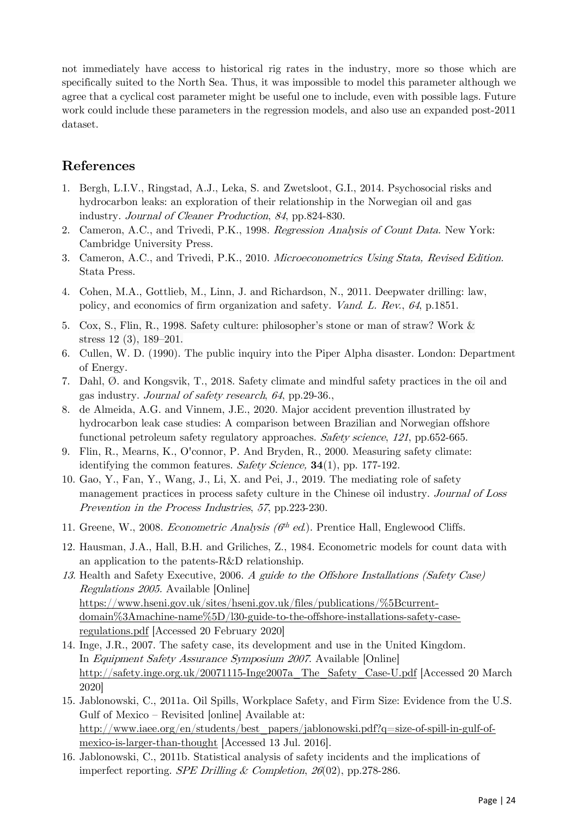not immediately have access to historical rig rates in the industry, more so those which are specifically suited to the North Sea. Thus, it was impossible to model this parameter although we agree that a cyclical cost parameter might be useful one to include, even with possible lags. Future work could include these parameters in the regression models, and also use an expanded post-2011 dataset.

# **References**

- 1. Bergh, L.I.V., Ringstad, A.J., Leka, S. and Zwetsloot, G.I., 2014. Psychosocial risks and hydrocarbon leaks: an exploration of their relationship in the Norwegian oil and gas industry. Journal of Cleaner Production, <sup>84</sup>, pp.824-830.
- 2. Cameron, A.C., and Trivedi, P.K., 1998. Regression Analysis of Count Data. New York: Cambridge University Press.
- 3. Cameron, A.C., and Trivedi, P.K., 2010. Microeconometrics Using Stata, Revised Edition. Stata Press.
- 4. Cohen, M.A., Gottlieb, M., Linn, J. and Richardson, N., 2011. Deepwater drilling: law, policy, and economics of firm organization and safety. Vand. L. Rev., <sup>64</sup>, p.1851.
- 5. Cox, S., Flin, R., 1998. Safety culture: philosopher's stone or man of straw? Work & stress 12 (3), 189–201.
- 6. Cullen, W. D. (1990). The public inquiry into the Piper Alpha disaster. London: Department of Energy.
- 7. Dahl, Ø. and Kongsvik, T., 2018. Safety climate and mindful safety practices in the oil and gas industry. Journal of safety research, <sup>64</sup>, pp.29-36.,
- 8. de Almeida, A.G. and Vinnem, J.E., 2020. Major accident prevention illustrated by hydrocarbon leak case studies: A comparison between Brazilian and Norwegian offshore functional petroleum safety regulatory approaches. Safety science, <sup>121</sup>, pp.652-665.
- 9. Flin, R., Mearns, K., O'connor, P. And Bryden, R., 2000. Measuring safety climate: identifying the common features. Safety Science, **34**(1), pp. 177-192.
- 10. Gao, Y., Fan, Y., Wang, J., Li, X. and Pei, J., 2019. The mediating role of safety management practices in process safety culture in the Chinese oil industry. Journal of Loss Prevention in the Process Industries, <sup>57</sup>, pp.223-230.
- 11. Greene, W., 2008. Econometric Analysis  $(6^{th}$  ed.). Prentice Hall, Englewood Cliffs.
- 12. Hausman, J.A., Hall, B.H. and Griliches, Z., 1984. Econometric models for count data with an application to the patents-R&D relationship.
- 13. Health and Safety Executive, 2006. A guide to the Offshore Installations (Safety Case) Regulations 2005. Available [Online] [https://www.hseni.gov.uk/sites/hseni.gov.uk/files/publications/%5Bcurrent](https://www.hseni.gov.uk/sites/hseni.gov.uk/files/publications/%5Bcurrent-domain%3Amachine-name%5D/l30-guide-to-the-offshore-installations-safety-case-regulations.pdf)[domain%3Amachine-name%5D/l30-guide-to-the-offshore-installations-safety-case](https://www.hseni.gov.uk/sites/hseni.gov.uk/files/publications/%5Bcurrent-domain%3Amachine-name%5D/l30-guide-to-the-offshore-installations-safety-case-regulations.pdf)[regulations.pdf](https://www.hseni.gov.uk/sites/hseni.gov.uk/files/publications/%5Bcurrent-domain%3Amachine-name%5D/l30-guide-to-the-offshore-installations-safety-case-regulations.pdf) [Accessed 20 February 2020]
- 14. Inge, J.R., 2007. The safety case, its development and use in the United Kingdom. In Equipment Safety Assurance Symposium 2007. Available [Online] [http://safety.inge.org.uk/20071115-Inge2007a\\_The\\_Safety\\_Case-U.pdf](http://safety.inge.org.uk/20071115-Inge2007a_The_Safety_Case-U.pdf) [Accessed 20 March 2020]
- 15. Jablonowski, C., 2011a. Oil Spills, Workplace Safety, and Firm Size: Evidence from the U.S. Gulf of Mexico – Revisited [online] Available at: [http://www.iaee.org/en/students/best\\_papers/jablonowski.pdf?q=size-of-spill-in-gulf-of](http://www.iaee.org/en/students/best_papers/jablonowski.pdf?q=size-of-spill-in-gulf-of-mexico-is-larger-than-thought)[mexico-is-larger-than-thought](http://www.iaee.org/en/students/best_papers/jablonowski.pdf?q=size-of-spill-in-gulf-of-mexico-is-larger-than-thought) [Accessed 13 Jul. 2016].
- 16. Jablonowski, C., 2011b. Statistical analysis of safety incidents and the implications of imperfect reporting. SPE Drilling & Completion, <sup>26</sup>(02), pp.278-286.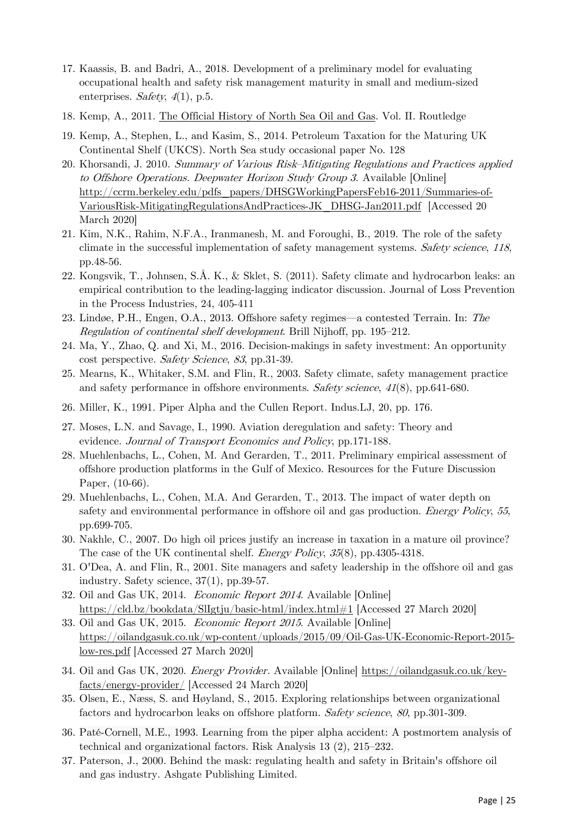- 17. Kaassis, B. and Badri, A., 2018. Development of a preliminary model for evaluating occupational health and safety risk management maturity in small and medium-sized enterprises. Safety,  $4(1)$ , p.5.
- 18. Kemp, A., 2011. [The Official History of North Sea Oil and Gas.](http://www.routledge.com/books/details/9780415447546/) Vol. II. Routledge
- 19. Kemp, A., Stephen, L., and Kasim, S., 2014. Petroleum Taxation for the Maturing UK Continental Shelf (UKCS). North Sea study occasional paper No. 128
- 20. Khorsandi, J. 2010. Summary of Various Risk–Mitigating Regulations and Practices applied to Offshore Operations. Deepwater Horizon Study Group 3. Available [Online] [http://ccrm.berkeley.edu/pdfs\\_papers/DHSGWorkingPapersFeb16-2011/Summaries-of-](http://ccrm.berkeley.edu/pdfs_papers/DHSGWorkingPapersFeb16-2011/Summaries-of-VariousRisk-MitigatingRegulationsAndPractices-JK_DHSG-Jan2011.pdf)[VariousRisk-MitigatingRegulationsAndPractices-JK\\_DHSG-Jan2011.pdf](http://ccrm.berkeley.edu/pdfs_papers/DHSGWorkingPapersFeb16-2011/Summaries-of-VariousRisk-MitigatingRegulationsAndPractices-JK_DHSG-Jan2011.pdf) [Accessed 20 March 2020]
- 21. Kim, N.K., Rahim, N.F.A., Iranmanesh, M. and Foroughi, B., 2019. The role of the safety climate in the successful implementation of safety management systems. Safety science, <sup>118</sup>, pp.48-56.
- 22. Kongsvik, T., Johnsen, S.Å. K., & Sklet, S. (2011). Safety climate and hydrocarbon leaks: an empirical contribution to the leading-lagging indicator discussion. Journal of Loss Prevention in the Process Industries, 24, 405-411
- 23. Lindøe, P.H., Engen, O.A., 2013. Offshore safety regimes—a contested Terrain. In: The Regulation of continental shelf development. Brill Nijhoff, pp. 195–212.
- 24. Ma, Y., Zhao, Q. and Xi, M., 2016. Decision-makings in safety investment: An opportunity cost perspective. Safety Science, <sup>83</sup>, pp.31-39.
- 25. Mearns, K., Whitaker, S.M. and Flin, R., 2003. Safety climate, safety management practice and safety performance in offshore environments. Safety science, <sup>41</sup>(8), pp.641-680.
- 26. Miller, K., 1991. Piper Alpha and the Cullen Report. Indus.LJ, 20, pp. 176.
- 27. Moses, L.N. and Savage, I., 1990. Aviation deregulation and safety: Theory and evidence. Journal of Transport Economics and Policy, pp.171-188.
- 28. Muehlenbachs, L., Cohen, M. And Gerarden, T., 2011. Preliminary empirical assessment of offshore production platforms in the Gulf of Mexico. Resources for the Future Discussion Paper, (10-66).
- 29. Muehlenbachs, L., Cohen, M.A. And Gerarden, T., 2013. The impact of water depth on safety and environmental performance in offshore oil and gas production. Energy Policy, <sup>55</sup>, pp.699-705.
- 30. Nakhle, C., 2007. Do high oil prices justify an increase in taxation in a mature oil province? The case of the UK continental shelf. Energy Policy, <sup>35</sup>(8), pp.4305-4318.
- 31. O'Dea, A. and Flin, R., 2001. Site managers and safety leadership in the offshore oil and gas industry. Safety science, 37(1), pp.39-57.
- 32. Oil and Gas UK, 2014. Economic Report 2014. Available [Online] <https://cld.bz/bookdata/SlIgtju/basic-html/index.html#1> [Accessed 27 March 2020]
- 33. Oil and Gas UK, 2015. Economic Report 2015. Available [Online] [https://oilandgasuk.co.uk/wp-content/uploads/2015/09/Oil-Gas-UK-Economic-Report-2015](https://oilandgasuk.co.uk/wp-content/uploads/2015/09/Oil-Gas-UK-Economic-Report-2015-low-res.pdf) [low-res.pdf](https://oilandgasuk.co.uk/wp-content/uploads/2015/09/Oil-Gas-UK-Economic-Report-2015-low-res.pdf) [Accessed 27 March 2020]
- 34. Oil and Gas UK, 2020. Energy Provider. Available [Online] [https://oilandgasuk.co.uk/key](https://oilandgasuk.co.uk/key-facts/energy-provider/)[facts/energy-provider/](https://oilandgasuk.co.uk/key-facts/energy-provider/) [Accessed 24 March 2020]
- 35. Olsen, E., Næss, S. and Høyland, S., 2015. Exploring relationships between organizational factors and hydrocarbon leaks on offshore platform. Safety science, <sup>80</sup>, pp.301-309.
- 36. Paté‐Cornell, M.E., 1993. Learning from the piper alpha accident: A postmortem analysis of technical and organizational factors. Risk Analysis 13 (2), 215–232.
- 37. Paterson, J., 2000. Behind the mask: regulating health and safety in Britain's offshore oil and gas industry. Ashgate Publishing Limited.